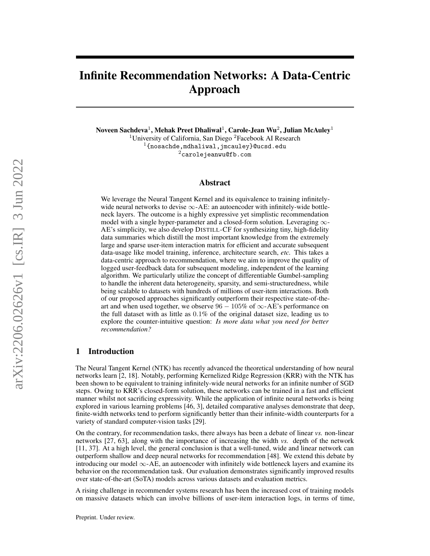# Infinite Recommendation Networks: A Data-Centric Approach

Noveen Sachdeva $^1$ , Mehak Preet Dhaliwal $^1$ , Carole-Jean Wu $^2$ , Julian McAuley $^1$ <sup>1</sup>University of California, San Diego <sup>2</sup>Facebook AI Research  $1\{\text{nosachde}, \text{mdhalival}, \text{jmcauley}\}$ @ucsd.edu

<sup>2</sup>carolejeanwu@fb.com

## Abstract

We leverage the Neural Tangent Kernel and its equivalence to training infinitelywide neural networks to devise  $\infty$ -AE: an autoencoder with infinitely-wide bottleneck layers. The outcome is a highly expressive yet simplistic recommendation model with a single hyper-parameter and a closed-form solution. Leveraging  $\infty$ -AE's simplicity, we also develop DISTILL-CF for synthesizing tiny, high-fidelity data summaries which distill the most important knowledge from the extremely large and sparse user-item interaction matrix for efficient and accurate subsequent data-usage like model training, inference, architecture search, *etc.* This takes a data-centric approach to recommendation, where we aim to improve the quality of logged user-feedback data for subsequent modeling, independent of the learning algorithm. We particularly utilize the concept of differentiable Gumbel-sampling to handle the inherent data heterogeneity, sparsity, and semi-structuredness, while being scalable to datasets with hundreds of millions of user-item interactions. Both of our proposed approaches significantly outperform their respective state-of-theart and when used together, we observe  $96 - 105\%$  of  $\infty$ -AE's performance on the full dataset with as little as 0.1% of the original dataset size, leading us to explore the counter-intuitive question: *Is more data what you need for better recommendation?*

## 1 Introduction

The Neural Tangent Kernel (NTK) has recently advanced the theoretical understanding of how neural networks learn [\[2,](#page-9-0) [18\]](#page-9-1). Notably, performing Kernelized Ridge Regression (KRR) with the NTK has been shown to be equivalent to training infinitely-wide neural networks for an infinite number of SGD steps. Owing to KRR's closed-form solution, these networks can be trained in a fast and efficient manner whilst not sacrificing expressivity. While the application of infinite neural networks is being explored in various learning problems [\[46,](#page-11-0) [3\]](#page-9-2), detailed comparative analyses demonstrate that deep, finite-width networks tend to perform significantly better than their infinite-width counterparts for a variety of standard computer-vision tasks [\[29\]](#page-10-0).

On the contrary, for recommendation tasks, there always has been a debate of linear *vs.* non-linear networks [\[27,](#page-10-1) [63\]](#page-12-0), along with the importance of increasing the width *vs.* depth of the network [\[11,](#page-9-3) [37\]](#page-10-2). At a high level, the general conclusion is that a well-tuned, wide and linear network can outperform shallow and deep neural networks for recommendation [\[48\]](#page-11-1). We extend this debate by introducing our model  $\infty$ -AE, an autoencoder with infinitely wide bottleneck layers and examine its behavior on the recommendation task. Our evaluation demonstrates significantly improved results over state-of-the-art (SoTA) models across various datasets and evaluation metrics.

A rising challenge in recommender systems research has been the increased cost of training models on massive datasets which can involve billions of user-item interaction logs, in terms of time,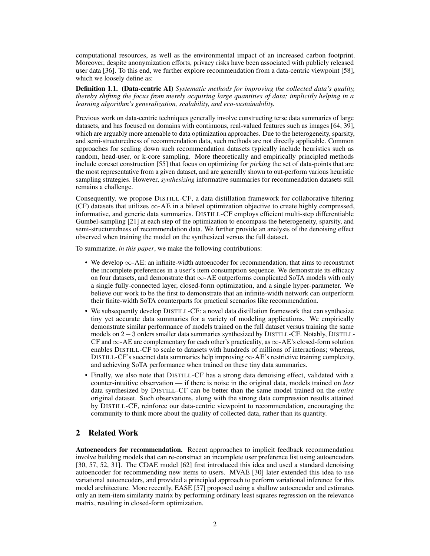computational resources, as well as the environmental impact of an increased carbon footprint. Moreover, despite anonymization efforts, privacy risks have been associated with publicly released user data [\[36\]](#page-10-3). To this end, we further explore recommendation from a data-centric viewpoint [\[58\]](#page-12-1), which we loosely define as:

Definition 1.1. (Data-centric AI) *Systematic methods for improving the collected data's quality, thereby shifting the focus from merely acquiring large quantities of data; implicitly helping in a learning algorithm's generalization, scalability, and eco-sustainability.*

Previous work on data-centric techniques generally involve constructing terse data summaries of large datasets, and has focused on domains with continuous, real-valued features such as images [\[64,](#page-12-2) [39\]](#page-11-2), which are arguably more amenable to data optimization approaches. Due to the heterogeneity, sparsity, and semi-structuredness of recommendation data, such methods are not directly applicable. Common approaches for scaling down such recommendation datasets typically include heuristics such as random, head-user, or k-core sampling. More theoretically and empirically principled methods include coreset construction [\[55\]](#page-11-3) that focus on optimizing for *picking* the set of data-points that are the most representative from a given dataset, and are generally shown to out-perform various heuristic sampling strategies. However, *synthesizing* informative summaries for recommendation datasets still remains a challenge.

Consequently, we propose DISTILL-CF, a data distillation framework for collaborative filtering (CF) datasets that utilizes ∞-AE in a bilevel optimization objective to create highly compressed, informative, and generic data summaries. DISTILL-CF employs efficient multi-step differentiable Gumbel-sampling [\[21\]](#page-10-4) at each step of the optimization to encompass the heterogeneity, sparsity, and semi-structuredness of recommendation data. We further provide an analysis of the denoising effect observed when training the model on the synthesized versus the full dataset.

To summarize, *in this paper*, we make the following contributions:

- We develop ∞-AE: an infinite-width autoencoder for recommendation, that aims to reconstruct the incomplete preferences in a user's item consumption sequence. We demonstrate its efficacy on four datasets, and demonstrate that ∞-AE outperforms complicated SoTA models with only a single fully-connected layer, closed-form optimization, and a single hyper-parameter. We believe our work to be the first to demonstrate that an infinite-width network can outperform their finite-width SoTA counterparts for practical scenarios like recommendation.
- We subsequently develop DISTILL-CF: a novel data distillation framework that can synthesize tiny yet accurate data summaries for a variety of modeling applications. We empirically demonstrate similar performance of models trained on the full dataset versus training the same models on 2 − 3 orders smaller data summaries synthesized by DISTILL-CF. Notably, DISTILL-CF and  $\infty$ -AE are complementary for each other's practicality, as  $\infty$ -AE's closed-form solution enables DISTILL-CF to scale to datasets with hundreds of millions of interactions; whereas, DISTILL-CF's succinct data summaries help improving  $\infty$ -AE's restrictive training complexity, and achieving SoTA performance when trained on these tiny data summaries.
- Finally, we also note that DISTILL-CF has a strong data denoising effect, validated with a counter-intuitive observation — if there is noise in the original data, models trained on *less* data synthesized by DISTILL-CF can be better than the same model trained on the *entire* original dataset. Such observations, along with the strong data compression results attained by DISTILL-CF, reinforce our data-centric viewpoint to recommendation, encouraging the community to think more about the quality of collected data, rather than its quantity.

## 2 Related Work

Autoencoders for recommendation. Recent approaches to implicit feedback recommendation involve building models that can re-construct an incomplete user preference list using autoencoders [\[30,](#page-10-5) [57,](#page-11-4) [52,](#page-11-5) [31\]](#page-10-6). The CDAE model [\[62\]](#page-12-3) first introduced this idea and used a standard denoising autoencoder for recommending new items to users. MVAE [\[30\]](#page-10-5) later extended this idea to use variational autoencoders, and provided a principled approach to perform variational inference for this model architecture. More recently, EASE [\[57\]](#page-11-4) proposed using a shallow autoencoder and estimates only an item-item similarity matrix by performing ordinary least squares regression on the relevance matrix, resulting in closed-form optimization.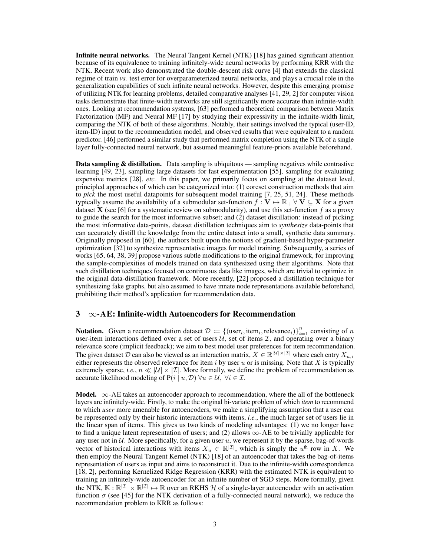Infinite neural networks. The Neural Tangent Kernel (NTK) [\[18\]](#page-9-1) has gained significant attention because of its equivalence to training infinitely-wide neural networks by performing KRR with the NTK. Recent work also demonstrated the double-descent risk curve [\[4\]](#page-9-4) that extends the classical regime of train *vs.* test error for overparameterized neural networks, and plays a crucial role in the generalization capabilities of such infinite neural networks. However, despite this emerging promise of utilizing NTK for learning problems, detailed comparative analyses [\[41,](#page-11-6) [29,](#page-10-0) [2\]](#page-9-0) for computer vision tasks demonstrate that finite-width networks are still significantly more accurate than infinite-width ones. Looking at recommendation systems, [\[63\]](#page-12-0) performed a theoretical comparison between Matrix Factorization (MF) and Neural MF [\[17\]](#page-9-5) by studying their expressivity in the infinite-width limit, comparing the NTK of both of these algorithms. Notably, their settings involved the typical (user-ID, item-ID) input to the recommendation model, and observed results that were equivalent to a random predictor. [\[46\]](#page-11-0) performed a similar study that performed matrix completion using the NTK of a single layer fully-connected neural network, but assumed meaningful feature-priors available beforehand.

Data sampling & distillation. Data sampling is ubiquitous — sampling negatives while contrastive learning [\[49,](#page-11-7) [23\]](#page-10-7), sampling large datasets for fast experimentation [\[55\]](#page-11-3), sampling for evaluating expensive metrics [\[28\]](#page-10-8), *etc.* In this paper, we primarily focus on sampling at the dataset level, principled approaches of which can be categorized into: (1) coreset construction methods that aim to *pick* the most useful datapoints for subsequent model training [\[7,](#page-9-6) [25,](#page-10-9) [51,](#page-11-8) [24\]](#page-10-10). These methods typically assume the availability of a submodular set-function  $f : V \mapsto \mathbb{R}_+ \forall V \subseteq X$  for a given dataset **X** (see [\[6\]](#page-9-7) for a systematic review on submodularity), and use this set-function f as a proxy to guide the search for the most informative subset; and (2) dataset distillation: instead of picking the most informative data-points, dataset distillation techniques aim to *synthesize* data-points that can accurately distill the knowledge from the entire dataset into a small, synthetic data summary. Originally proposed in [\[60\]](#page-12-4), the authors built upon the notions of gradient-based hyper-parameter optimization [\[32\]](#page-10-11) to synthesize representative images for model training. Subsequently, a series of works [\[65,](#page-12-5) [64,](#page-12-2) [38,](#page-10-12) [39\]](#page-11-2) propose various subtle modifications to the original framework, for improving the sample-complexities of models trained on data synthesized using their algorithms. Note that such distillation techniques focused on continuous data like images, which are trivial to optimize in the original data-distillation framework. More recently, [\[22\]](#page-10-13) proposed a distillation technique for synthesizing fake graphs, but also assumed to have innate node representations available beforehand, prohibiting their method's application for recommendation data.

## <span id="page-2-0"></span> $3 \quad \infty$ -AE: Infinite-width Autoencoders for Recommendation

**Notation.** Given a recommendation dataset  $\mathcal{D} := \{(\text{user}_i, \text{item}_i, \text{relevance}_i)\}_{i=1}^n$  consisting of n user-item interactions defined over a set of users  $U$ , set of items  $\mathcal{I}$ , and operating over a binary relevance score (implicit feedback); we aim to best model user preferences for item recommendation. The given dataset  $\mathcal D$  can also be viewed as an interaction matrix,  $X \in \mathbb R^{|\mathcal U| \times |\mathcal I|}$  where each entry  $X_{u,i}$ either represents the observed relevance for item  $i$  by user  $u$  or is missing. Note that  $X$  is typically extremely sparse, *i.e.*,  $n \ll |\mathcal{U}| \times |\mathcal{I}|$ . More formally, we define the problem of recommendation as accurate likelihood modeling of  $P(i | u, \mathcal{D}) \forall u \in \mathcal{U}, \forall i \in \mathcal{I}.$ 

**Model.**  $\infty$ -AE takes an autoencoder approach to recommendation, where the all of the bottleneck layers are infinitely-wide. Firstly, to make the original bi-variate problem of which *item* to recommend to which *user* more amenable for autoencoders, we make a simplifying assumption that a user can be represented only by their historic interactions with items, *i.e.*, the much larger set of users lie in the linear span of items. This gives us two kinds of modeling advantages: (1) we no longer have to find a unique latent representation of users; and (2) allows  $\infty$ -AE to be trivially applicable for any user not in U. More specifically, for a given user u, we represent it by the sparse, bag-of-words vector of historical interactions with items  $X_u \in \mathbb{R}^{|\mathcal{I}|}$ , which is simply the u<sup>th</sup> row in X. We then employ the Neural Tangent Kernel (NTK) [\[18\]](#page-9-1) of an autoencoder that takes the bag-of-items representation of users as input and aims to reconstruct it. Due to the infinite-width correspondence [\[18,](#page-9-1) [2\]](#page-9-0), performing Kernelized Ridge Regression (KRR) with the estimated NTK is equivalent to training an infinitely-wide autoencoder for an infinite number of SGD steps. More formally, given the NTK,  $\mathbb{K} : \mathbb{R}^{|Z|} \times \mathbb{R}^{|Z|} \mapsto \mathbb{R}$  over an RKHS H of a single-layer autoencoder with an activation function  $\sigma$  (see [\[45\]](#page-11-9) for the NTK derivation of a fully-connected neural network), we reduce the recommendation problem to KRR as follows: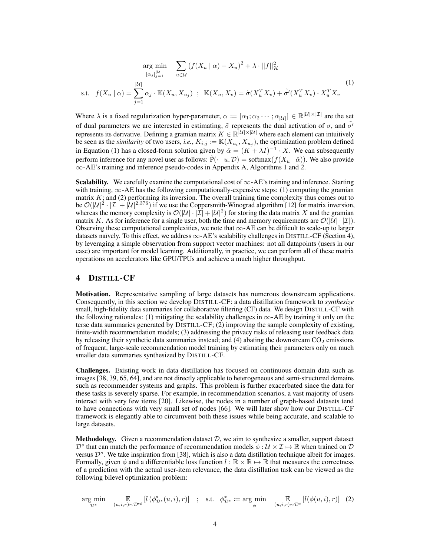<span id="page-3-0"></span>
$$
\underset{\left[\alpha_{j}\right]_{j=1}^{\left|\mathcal{U}\right|}}{\arg \min} \sum_{u \in \mathcal{U}} \left(f(X_{u} \mid \alpha) - X_{u}\right)^{2} + \lambda \cdot ||f||_{\mathcal{H}}^{2}
$$
\n
$$
\text{s.t.} \quad f(X_{u} \mid \alpha) = \sum_{j=1}^{\left|\mathcal{U}\right|} \alpha_{j} \cdot \mathbb{K}(X_{u}, X_{u_{j}}) \quad ; \quad \mathbb{K}(X_{u}, X_{v}) = \tilde{\sigma}(X_{u}^{T} X_{v}) + \tilde{\sigma}'(X_{u}^{T} X_{v}) \cdot X_{u}^{T} X_{v} \tag{1}
$$

Where  $\lambda$  is a fixed regularization hyper-parameter,  $\alpha := [\alpha_1; \alpha_2 \cdots; \alpha_{|\mathcal{U}|}] \in \mathbb{R}^{|\mathcal{U}| \times |\mathcal{I}|}$  are the set of dual parameters we are interested in estimating,  $\tilde{\sigma}$  represents the dual activation of  $\sigma$ , and  $\tilde{\sigma'}$ represents its derivative. Defining a gramian matrix  $K \in \mathbb{R}^{|U| \times |U|}$  where each element can intuitively be seen as the *similarity* of two users, *i.e.*,  $K_{i,j} := \mathbb{K}(X_{u_i}, X_{u_j})$ , the optimization problem defined in Equation [\(1\)](#page-3-0) has a closed-form solution given by  $\hat{\alpha} = (K + \lambda I)^{-1} \cdot X$ . We can subsequently perform inference for any novel user as follows:  $\hat{P}(\cdot | u, \mathcal{D}) = \text{softmax}(f(X_u | \hat{\alpha}))$ . We also provide ∞-AE's training and inference pseudo-codes in Appendix [A,](#page-13-0) Algorithms [1](#page-13-1) and [2.](#page-13-1)

**Scalability.** We carefully examine the computational cost of  $\infty$ -AE's training and inference. Starting with training,  $\infty$ -AE has the following computationally-expensive steps: (1) computing the gramian matrix  $K$ ; and (2) performing its inversion. The overall training time complexity thus comes out to be  $\mathcal{O}(|\mathcal{U}|^2 \cdot |\mathcal{I}| + |\mathcal{U}|^{2.376})$  if we use the Coppersmith-Winograd algorithm [\[12\]](#page-9-8) for matrix inversion, whereas the memory complexity is  $\mathcal{O}(|\mathcal{U}| \cdot |\mathcal{I}| + |\mathcal{U}|^2)$  for storing the data matrix X and the gramian matrix K. As for inference for a single user, both the time and memory requirements are  $\mathcal{O}(|\mathcal{U}| \cdot |\mathcal{I}|)$ . Observing these computational complexities, we note that  $\infty$ -AE can be difficult to scale-up to larger datasets naïvely. To this effect, we address  $\infty$ -AE's scalability challenges in DISTILL-CF (Section [4\)](#page-3-1), by leveraging a simple observation from support vector machines: not all datapoints (users in our case) are important for model learning. Additionally, in practice, we can perform all of these matrix operations on accelerators like GPU/TPUs and achieve a much higher throughput.

## <span id="page-3-1"></span>4 DISTILL-CF

**Motivation.** Representative sampling of large datasets has numerous downstream applications. Consequently, in this section we develop DISTILL-CF: a data distillation framework to *synthesize* small, high-fidelity data summaries for collaborative filtering (CF) data. We design DISTILL-CF with the following rationales: (1) mitigating the scalability challenges in  $\infty$ -AE by training it only on the terse data summaries generated by DISTILL-CF; (2) improving the sample complexity of existing, finite-width recommendation models; (3) addressing the privacy risks of releasing user feedback data by releasing their synthetic data summaries instead; and  $(4)$  abating the downstream  $CO<sub>2</sub>$  emissions of frequent, large-scale recommendation model training by estimating their parameters only on much smaller data summaries synthesized by DISTILL-CF.

Challenges. Existing work in data distillation has focused on continuous domain data such as images [\[38,](#page-10-12) [39,](#page-11-2) [65,](#page-12-5) [64\]](#page-12-2), and are not directly applicable to heterogeneous and semi-structured domains such as recommender systems and graphs. This problem is further exacerbated since the data for these tasks is severely sparse. For example, in recommendation scenarios, a vast majority of users interact with very few items [\[20\]](#page-9-9). Likewise, the nodes in a number of graph-based datasets tend to have connections with very small set of nodes [\[66\]](#page-12-6). We will later show how our DISTILL-CF framework is elegantly able to circumvent both these issues while being accurate, and scalable to large datasets.

**Methodology.** Given a recommendation dataset  $D$ , we aim to synthesize a smaller, support dataset  $\mathcal{D}^s$  that can match the performance of recommendation models  $\phi: \mathcal{U} \times \mathcal{I} \mapsto \mathbb{R}$  when trained on  $\mathcal{D}$ versus  $\mathcal{D}^s$ . We take inspiration from [\[38\]](#page-10-12), which is also a data distillation technique albeit for images. Formally, given  $\phi$  and a differentiable loss function  $l : \mathbb{R} \times \mathbb{R} \mapsto \mathbb{R}$  that measures the correctness of a prediction with the actual user-item relevance, the data distillation task can be viewed as the following bilevel optimization problem:

<span id="page-3-2"></span>
$$
\underset{\mathcal{D}^s}{\arg\min} \quad \underset{(u,i,r)\sim\mathcal{D}^{\text{val}}}{\mathbb{E}} \left[ l\left(\phi_{\mathcal{D}^s}^*(u,i),r\right) \right] \quad ; \quad \text{s.t.} \quad \phi_{\mathcal{D}^s}^* \coloneqq \underset{\phi}{\arg\min} \quad \underset{(u,i,r)\sim\mathcal{D}^s}{\mathbb{E}} \left[ l\left(\phi(u,i),r\right) \right] \tag{2}
$$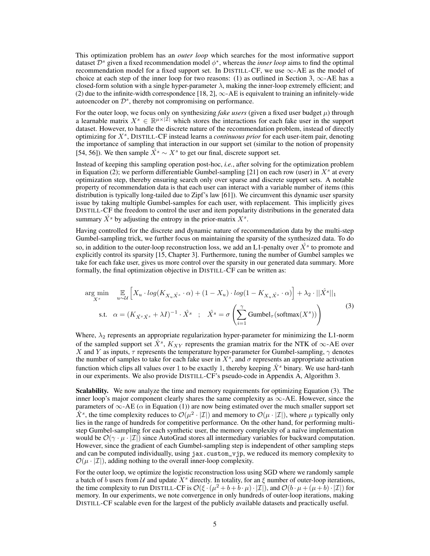This optimization problem has an *outer loop* which searches for the most informative support dataset  $\mathcal{D}^s$  given a fixed recommendation model  $\phi^*$ , whereas the *inner loop* aims to find the optimal recommendation model for a fixed support set. In DISTILL-CF, we use  $\infty$ -AE as the model of choice at each step of the inner loop for two reasons: (1) as outlined in Section [3,](#page-2-0)  $\infty$ -AE has a closed-form solution with a single hyper-parameter  $\lambda$ , making the inner-loop extremely efficient; and (2) due to the infinite-width correspondence [\[18,](#page-9-1) [2\]](#page-9-0),  $\infty$ -AE is equivalent to training an infinitely-wide autoencoder on  $\mathcal{D}^s$ , thereby not compromising on performance.

For the outer loop, we focus only on synthesizing *fake users* (given a fixed user budget  $\mu$ ) through a learnable matrix  $X^s \in \mathbb{R}^{\mu \times |\mathcal{I}|}$  which stores the interactions for each fake user in the support dataset. However, to handle the discrete nature of the recommendation problem, instead of directly optimizing for X<sup>s</sup>, DISTILL-CF instead learns a *continuous prior* for each user-item pair, denoting the importance of sampling that interaction in our support set (similar to the notion of propensity [\[54,](#page-11-10) [56\]](#page-11-11)). We then sample  $\hat{X}^s \sim X^s$  to get our final, discrete support set.

Instead of keeping this sampling operation post-hoc, *i.e.*, after solving for the optimization problem in Equation [\(2\)](#page-3-2); we perform differentiable Gumbel-sampling [\[21\]](#page-10-4) on each row (user) in  $X<sup>s</sup>$  at every optimization step, thereby ensuring search only over sparse and discrete support sets. A notable property of recommendation data is that each user can interact with a variable number of items (this distribution is typically long-tailed due to Zipf's law [\[61\]](#page-12-7)). We circumvent this dynamic user sparsity issue by taking multiple Gumbel-samples for each user, with replacement. This implicitly gives DISTILL-CF the freedom to control the user and item popularity distributions in the generated data summary  $\hat{X}^s$  by adjusting the entropy in the prior-matrix  $X^s$ .

Having controlled for the discrete and dynamic nature of recommendation data by the multi-step Gumbel-sampling trick, we further focus on maintaining the sparsity of the synthesized data. To do so, in addition to the outer-loop reconstruction loss, we add an L1-penalty over  $\hat{X^s}$  to promote and explicitly control its sparsity [\[15,](#page-9-10) Chapter 3]. Furthermore, tuning the number of Gumbel samples we take for each fake user, gives us more control over the sparsity in our generated data summary. More formally, the final optimization objective in DISTILL-CF can be written as:

<span id="page-4-0"></span>
$$
\arg\min_{X^s} \mathbb{E}_{X^s} \left[ X_u \cdot \log(K_{X_u \hat{X}^s} \cdot \alpha) + (1 - X_u) \cdot \log(1 - K_{X_u \hat{X}^s} \cdot \alpha) \right] + \lambda_2 \cdot ||\hat{X}^s||_1
$$
  
s.t.  $\alpha = (K_{\hat{X}^s \hat{X}^s} + \lambda I)^{-1} \cdot \hat{X}^s ; \quad \hat{X}^s = \sigma \left( \sum_{i=1}^{\gamma} \text{Gumbel}_{\tau}(\text{softmax}(X^s)) \right)$  (3)

Where,  $\lambda_2$  represents an appropriate regularization hyper-parameter for minimizing the L1-norm of the sampled support set  $\hat{X}^s$ ,  $K_{XY}$  represents the gramian matrix for the NTK of ∞-AE over X and Y as inputs,  $\tau$  represents the temperature hyper-parameter for Gumbel-sampling,  $\gamma$  denotes the number of samples to take for each fake user in  $X^s$ , and  $\sigma$  represents an appropriate activation function which clips all values over 1 to be exactly 1, thereby keeping  $\hat{X}^s$  binary. We use hard-tanh in our experiments. We also provide DISTILL-CF's pseudo-code in Appendix [A,](#page-13-0) Algorithm [3.](#page-13-2)

Scalability. We now analyze the time and memory requirements for optimizing Equation [\(3\)](#page-4-0). The inner loop's major component clearly shares the same complexity as  $\infty$ -AE. However, since the parameters of  $\infty$ -AE ( $\alpha$  in Equation [\(1\)](#page-3-0)) are now being estimated over the much smaller support set  $\hat{X}^s$ , the time complexity reduces to  $\mathcal{O}(\mu^2 \cdot |\mathcal{I}|)$  and memory to  $\mathcal{O}(\mu \cdot |\mathcal{I}|)$ , where  $\mu$  typically only lies in the range of hundreds for competitive performance. On the other hand, for performing multistep Gumbel-sampling for each synthetic user, the memory complexity of a naïve implementation would be  $\mathcal{O}(\gamma \cdot \mu \cdot |\mathcal{I}|)$  since AutoGrad stores all intermediary variables for backward computation. However, since the gradient of each Gumbel-sampling step is independent of other sampling steps and can be computed individually, using jax.custom\_vjp, we reduced its memory complexity to  $\mathcal{O}(\mu \cdot |\mathcal{I}|)$ , adding nothing to the overall inner-loop complexity.

For the outer loop, we optimize the logistic reconstruction loss using SGD where we randomly sample a batch of b users from U and update  $X<sup>s</sup>$  directly. In totality, for an  $\xi$  number of outer-loop iterations, the time complexity to run DISTILL-CF is  $\mathcal{O}(\xi \cdot (\mu^2 + b + b \cdot \mu) \cdot |\mathcal{I}|)$ , and  $\mathcal{O}(b \cdot \mu + (\mu + b) \cdot |\mathcal{I}|)$  for memory. In our experiments, we note convergence in only hundreds of outer-loop iterations, making DISTILL-CF scalable even for the largest of the publicly available datasets and practically useful.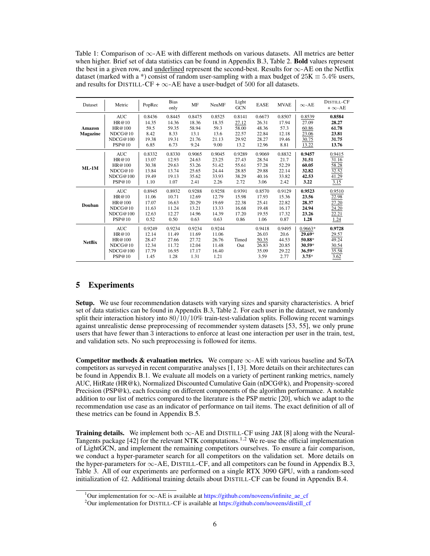<span id="page-5-2"></span>Table 1: Comparison of  $\infty$ -AE with different methods on various datasets. All metrics are better when higher. Brief set of data statistics can be found in Appendix [B.3,](#page-14-0) Table [2.](#page-14-1) Bold values represent the best in a given row, and underlined represent the second-best. Results for ∞-AE on the Netflix dataset (marked with a \*) consist of random user-sampling with a max budget of  $25K \equiv 5.4\%$  users, and results for DISTILL-CF +  $\infty$ -AE have a user-budget of 500 for all datasets.

| Dataset                   | Metric                                                         | PopRec                                             | <b>Bias</b><br>only                                | MF                                                 | <b>NeuMF</b>                                       | Light<br><b>GCN</b>                                | <b>EASE</b>                                         | <b>MVAE</b>                                        | $\infty$ -AE                                                     | DISTILL-CF<br>$+\infty$ -AE                         |
|---------------------------|----------------------------------------------------------------|----------------------------------------------------|----------------------------------------------------|----------------------------------------------------|----------------------------------------------------|----------------------------------------------------|-----------------------------------------------------|----------------------------------------------------|------------------------------------------------------------------|-----------------------------------------------------|
| Amazon<br><b>Magazine</b> | <b>AUC</b><br>HR@10<br>HR@100<br>NDCG@10<br>NDCG@100<br>PSP@10 | 0.8436<br>14.35<br>59.5<br>8.42<br>19.38<br>6.85   | 0.8445<br>14.36<br>59.35<br>8.33<br>19.31<br>6.73  | 0.8475<br>18.36<br>58.94<br>13.1<br>21.76<br>9.24  | 0.8525<br>18.35<br>59.3<br>13.6<br>21.13<br>9.00   | 0.8141<br>27.12<br>58.00<br>22.57<br>29.92<br>13.2 | 0.6673<br>26.31<br>48.36<br>22.84<br>28.27<br>12.96 | 0.8507<br>17.94<br>57.3<br>12.18<br>19.46<br>8.81  | 0.8539<br>27.09<br>60.86<br>23.06<br>30.75<br>13.22              | 0.8584<br>28.27<br>61.78<br>23.81<br>31.75<br>13.76 |
| $ML-1M$                   | <b>AUC</b><br>HR@10<br>HR@100<br>NDCG@10<br>NDCG@100<br>PSP@10 | 0.8332<br>13.07<br>30.38<br>13.84<br>19.49<br>1.10 | 0.8330<br>12.93<br>29.63<br>13.74<br>19.13<br>1.07 | 0.9065<br>24.63<br>53.26<br>25.65<br>35.62<br>2.41 | 0.9045<br>23.25<br>51.42<br>24.44<br>33.93<br>2.26 | 0.9289<br>27.43<br>55.61<br>28.85<br>38.29<br>2.72 | 0.9069<br>28.54<br>57.28<br>29.88<br>40.16<br>3.06  | 0.8832<br>21.7<br>52.29<br>22.14<br>33.82<br>2.42  | 0.9457<br>31.51<br>60.05<br>32.82<br>42.53<br>3.22               | 0.9415<br>31.16<br>58.28<br>32.52<br>41.29<br>3.15  |
| Douban                    | <b>AUC</b><br>HR@10<br>HR@100<br>NDCG@10<br>NDCG@100<br>PSP@10 | 0.8945<br>11.06<br>17.07<br>11.63<br>12.63<br>0.52 | 0.8932<br>10.71<br>16.63<br>11.24<br>12.27<br>0.50 | 0.9288<br>12.69<br>20.29<br>13.21<br>14.96<br>0.63 | 0.9258<br>12.79<br>19.69<br>13.33<br>14.39<br>0.63 | 0.9391<br>15.98<br>22.38<br>16.68<br>17.20<br>0.86 | 0.8570<br>17.93<br>25.41<br>19.48<br>19.55<br>1.06  | 0.9129<br>15.36<br>22.82<br>16.17<br>17.32<br>0.87 | 0.9523<br>23.56<br>28.37<br>24.94<br>23.26<br>1.28               | 0.9510<br>22.98<br>27.20<br>24.20<br>22.21<br>1.24  |
| <b>Netflix</b>            | <b>AUC</b><br>HR@10<br>HR@100<br>NDCG@10<br>NDCG@100<br>PSP@10 | 0.9249<br>12.14<br>28.47<br>12.34<br>17.79<br>1.45 | 0.9234<br>11.49<br>27.66<br>11.72<br>16.95<br>1.28 | 0.9234<br>11.69<br>27.72<br>12.04<br>17.17<br>1.31 | 0.9244<br>11.06<br>26.76<br>11.48<br>16.40<br>1.21 | Timed<br>Out                                       | 0.9418<br>26.03<br>50.35<br>26.83<br>35.09<br>3.59  | 0.9495<br>20.6<br>44.53<br>20.85<br>29.22<br>2.77  | $0.9663*$<br>29.69*<br>50.88*<br>$30.59*$<br>$36.59*$<br>$3.75*$ | 0.9728<br>29.57<br>49.24<br>30.54<br>35.58<br>3.62  |

## <span id="page-5-3"></span>5 Experiments

Setup. We use four recommendation datasets with varying sizes and sparsity characteristics. A brief set of data statistics can be found in Appendix [B.3,](#page-14-0) Table [2.](#page-14-1) For each user in the dataset, we randomly split their interaction history into  $80/10/10\%$  train-test-validation splits. Following recent warnings against unrealistic dense preprocessing of recommender system datasets [\[53,](#page-11-12) [55\]](#page-11-3), we only prune users that have fewer than 3 interactions to enforce at least one interaction per user in the train, test, and validation sets. No such preprocessing is followed for items.

Competitor methods & evaluation metrics. We compare  $\infty$ -AE with various baseline and SoTA competitors as surveyed in recent comparative analyses [\[1,](#page-9-11) [13\]](#page-9-12). More details on their architectures can be found in Appendix [B.1.](#page-13-3) We evaluate all models on a variety of pertinent ranking metrics, namely AUC, HitRate (HR@k), Normalized Discounted Cumulative Gain (nDCG@k), and Propensity-scored Precision (PSP@k), each focusing on different components of the algorithm performance. A notable addition to our list of metrics compared to the literature is the PSP metric [\[20\]](#page-9-9), which we adapt to the recommendation use case as an indicator of performance on tail items. The exact definition of all of these metrics can be found in Appendix [B.5.](#page-15-0)

Training details. We implement both  $\infty$ -AE and DISTILL-CF using JAX [\[8\]](#page-9-13) along with the Neural-Tangents package  $[42]$  for the relevant NTK computations.<sup>[1,](#page-5-0)[2](#page-5-1)</sup> We re-use the official implementation of LightGCN, and implement the remaining competitors ourselves. To ensure a fair comparison, we conduct a hyper-parameter search for all competitors on the validation set. More details on the hyper-parameters for ∞-AE, DISTILL-CF, and all competitors can be found in Appendix [B.3,](#page-14-0) Table [3.](#page-15-1) All of our experiments are performed on a single RTX 3090 GPU, with a random-seed initialization of 42. Additional training details about DISTILL-CF can be found in Appendix [B.4.](#page-15-2)

<span id="page-5-0"></span><sup>&</sup>lt;sup>1</sup>Our implementation for  $\infty$ -AE is available at [https://github.com/noveens/infinite\\_ae\\_cf](https://github.com/noveens/infinite_ae_cf)

<span id="page-5-1"></span><sup>&</sup>lt;sup>2</sup>Our implementation for DISTILL-CF is available at [https://github.com/noveens/distill\\_cf](https://github.com/noveens/distill_cf)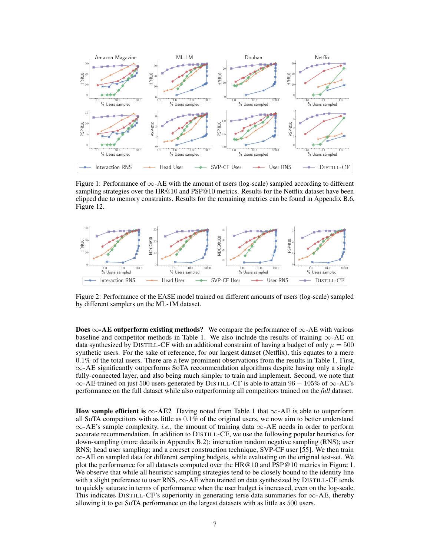<span id="page-6-0"></span>

Figure 1: Performance of  $\infty$ -AE with the amount of users (log-scale) sampled according to different sampling strategies over the HR@10 and PSP@10 metrics. Results for the Netflix dataset have been clipped due to memory constraints. Results for the remaining metrics can be found in Appendix [B.6,](#page-16-0) Figure [12.](#page-19-0)

<span id="page-6-1"></span>

Figure 2: Performance of the EASE model trained on different amounts of users (log-scale) sampled by different samplers on the ML-1M dataset.

**Does ∞-AE outperform existing methods?** We compare the performance of  $\infty$ -AE with various baseline and competitor methods in Table [1.](#page-5-2) We also include the results of training  $\infty$ -AE on data synthesized by DISTILL-CF with an additional constraint of having a budget of only  $\mu = 500$ synthetic users. For the sake of reference, for our largest dataset (Netflix), this equates to a mere 0.1% of the total users. There are a few prominent observations from the results in Table [1.](#page-5-2) First,  $\infty$ -AE significantly outperforms SoTA recommendation algorithms despite having only a single fully-connected layer, and also being much simpler to train and implement. Second, we note that  $\infty$ -AE trained on just 500 users generated by DISTILL-CF is able to attain 96 – 105% of  $\infty$ -AE's performance on the full dataset while also outperforming all competitors trained on the *full* dataset.

How sample efficient is  $\infty$ -AE? Having noted from Table [1](#page-5-2) that  $\infty$ -AE is able to outperform all SoTA competitors with as little as 0.1% of the original users, we now aim to better understand  $\infty$ -AE's sample complexity, *i.e.*, the amount of training data  $\infty$ -AE needs in order to perform accurate recommendation. In addition to DISTILL-CF, we use the following popular heuristics for down-sampling (more details in Appendix [B.2\)](#page-14-2): interaction random negative sampling (RNS); user RNS; head user sampling; and a coreset construction technique, SVP-CF user [\[55\]](#page-11-3). We then train  $\infty$ -AE on sampled data for different sampling budgets, while evaluating on the original test-set. We plot the performance for all datasets computed over the HR@10 and PSP@10 metrics in Figure [1.](#page-6-0) We observe that while all heuristic sampling strategies tend to be closely bound to the identity line with a slight preference to user RNS,  $\infty$ -AE when trained on data synthesized by DISTILL-CF tends to quickly saturate in terms of performance when the user budget is increased, even on the log-scale. This indicates DISTILL-CF's superiority in generating terse data summaries for  $\infty$ -AE, thereby allowing it to get SoTA performance on the largest datasets with as little as 500 users.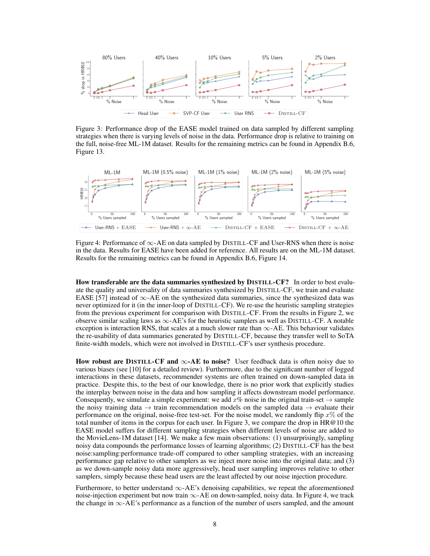<span id="page-7-0"></span>

Figure 3: Performance drop of the EASE model trained on data sampled by different sampling strategies when there is varying levels of noise in the data. Performance drop is relative to training on the full, noise-free ML-1M dataset. Results for the remaining metrics can be found in Appendix [B.6,](#page-16-0) Figure [13.](#page-20-0)

<span id="page-7-1"></span>

Figure 4: Performance of  $\infty$ -AE on data sampled by DISTILL-CF and User-RNS when there is noise in the data. Results for EASE have been added for reference. All results are on the ML-1M dataset. Results for the remaining metrics can be found in Appendix [B.6,](#page-16-0) Figure [14.](#page-21-0)

How transferable are the data summaries synthesized by DISTILL-CF? In order to best evaluate the quality and universality of data summaries synthesized by DISTILL-CF, we train and evaluate EASE [\[57\]](#page-11-4) instead of  $\infty$ -AE on the synthesized data summaries, since the synthesized data was never optimized for it (in the inner-loop of DISTILL-CF). We re-use the heuristic sampling strategies from the previous experiment for comparison with DISTILL-CF. From the results in Figure [2,](#page-6-1) we observe similar scaling laws as  $\infty$ -AE's for the heuristic samplers as well as DISTILL-CF. A notable exception is interaction RNS, that scales at a much slower rate than  $\infty$ -AE. This behaviour validates the re-usability of data summaries generated by DISTILL-CF, because they transfer well to SoTA finite-width models, which were not involved in DISTILL-CF's user synthesis procedure.

How robust are DISTILL-CF and  $\infty$ -AE to noise? User feedback data is often noisy due to various biases (see [\[10\]](#page-9-14) for a detailed review). Furthermore, due to the significant number of logged interactions in these datasets, recommender systems are often trained on down-sampled data in practice. Despite this, to the best of our knowledge, there is no prior work that explicitly studies the interplay between noise in the data and how sampling it affects downstream model performance. Consequently, we simulate a simple experiment: we add  $x\%$  noise in the original train-set  $\rightarrow$  sample the noisy training data  $\rightarrow$  train recommendation models on the sampled data  $\rightarrow$  evaluate their performance on the original, noise-free test-set. For the noise model, we randomly flip  $x\%$  of the total number of items in the corpus for each user. In Figure [3,](#page-7-0) we compare the drop in  $HR@10$  the EASE model suffers for different sampling strategies when different levels of noise are added to the MovieLens-1M dataset [\[14\]](#page-9-15). We make a few main observations: (1) unsurprisingly, sampling noisy data compounds the performance losses of learning algorithms; (2) DISTILL-CF has the best noise:sampling:performance trade-off compared to other sampling strategies, with an increasing performance gap relative to other samplers as we inject more noise into the original data; and (3) as we down-sample noisy data more aggressively, head user sampling improves relative to other samplers, simply because these head users are the least affected by our noise injection procedure.

Furthermore, to better understand  $\infty$ -AE's denoising capabilities, we repeat the aforementioned noise-injection experiment but now train  $\infty$ -AE on down-sampled, noisy data. In Figure [4,](#page-7-1) we track the change in ∞-AE's performance as a function of the number of users sampled, and the amount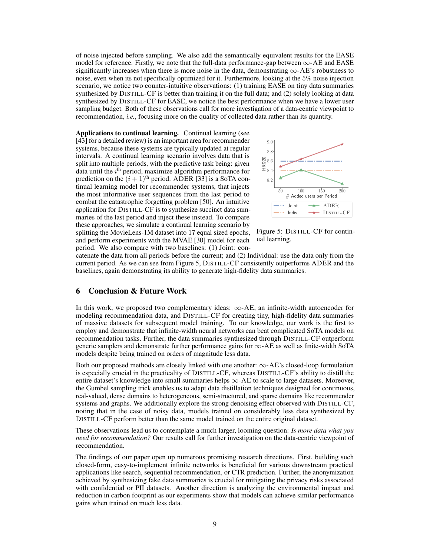of noise injected before sampling. We also add the semantically equivalent results for the EASE model for reference. Firstly, we note that the full-data performance-gap between  $\infty$ -AE and EASE significantly increases when there is more noise in the data, demonstrating  $\infty$ -AE's robustness to noise, even when its not specifically optimized for it. Furthermore, looking at the 5% noise injection scenario, we notice two counter-intuitive observations: (1) training EASE on tiny data summaries synthesized by DISTILL-CF is better than training it on the full data; and (2) solely looking at data synthesized by DISTILL-CF for EASE, we notice the best performance when we have a lower user sampling budget. Both of these observations call for more investigation of a data-centric viewpoint to recommendation, *i.e.*, focusing more on the quality of collected data rather than its quantity.

Applications to continual learning. Continual learning (see [\[43\]](#page-11-14) for a detailed review) is an important area for recommender systems, because these systems are typically updated at regular intervals. A continual learning scenario involves data that is split into multiple periods, with the predictive task being: given data until the  $i^{\text{th}}$  period, maximize algorithm performance for prediction on the  $(i + 1)$ <sup>th</sup> period. ADER [\[33\]](#page-10-14) is a SoTA continual learning model for recommender systems, that injects the most informative user sequences from the last period to combat the catastrophic forgetting problem [\[50\]](#page-11-15). An intuitive application for DISTILL-CF is to synthesize succinct data summaries of the last period and inject these instead. To compare these approaches, we simulate a continual learning scenario by splitting the MovieLens-1M dataset into 17 equal sized epochs, and perform experiments with the MVAE [\[30\]](#page-10-5) model for each period. We also compare with two baselines: (1) Joint: con-

<span id="page-8-0"></span>

Figure 5: DISTILL-CF for continual learning.

catenate the data from all periods before the current; and (2) Individual: use the data only from the current period. As we can see from Figure [5,](#page-8-0) DISTILL-CF consistently outperforms ADER and the baselines, again demonstrating its ability to generate high-fidelity data summaries.

## 6 Conclusion & Future Work

In this work, we proposed two complementary ideas:  $\infty$ -AE, an infinite-width autoencoder for modeling recommendation data, and DISTILL-CF for creating tiny, high-fidelity data summaries of massive datasets for subsequent model training. To our knowledge, our work is the first to employ and demonstrate that infinite-width neural networks can beat complicated SoTA models on recommendation tasks. Further, the data summaries synthesized through DISTILL-CF outperform generic samplers and demonstrate further performance gains for ∞-AE as well as finite-width SoTA models despite being trained on orders of magnitude less data.

Both our proposed methods are closely linked with one another:  $\infty$ -AE's closed-loop formulation is especially crucial in the practicality of DISTILL-CF, whereas DISTILL-CF's ability to distill the entire dataset's knowledge into small summaries helps  $\infty$ -AE to scale to large datasets. Moreover, the Gumbel sampling trick enables us to adapt data distillation techniques designed for continuous, real-valued, dense domains to heterogeneous, semi-structured, and sparse domains like recommender systems and graphs. We additionally explore the strong denoising effect observed with DISTILL-CF, noting that in the case of noisy data, models trained on considerably less data synthesized by DISTILL-CF perform better than the same model trained on the entire original dataset.

These observations lead us to contemplate a much larger, looming question: *Is more data what you need for recommendation?* Our results call for further investigation on the data-centric viewpoint of recommendation.

The findings of our paper open up numerous promising research directions. First, building such closed-form, easy-to-implement infinite networks is beneficial for various downstream practical applications like search, sequential recommendation, or CTR prediction. Further, the anonymization achieved by synthesizing fake data summaries is crucial for mitigating the privacy risks associated with confidential or PII datasets. Another direction is analyzing the environmental impact and reduction in carbon footprint as our experiments show that models can achieve similar performance gains when trained on much less data.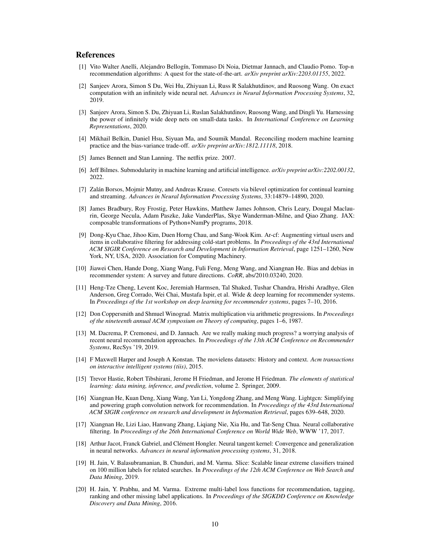## References

- <span id="page-9-11"></span>[1] Vito Walter Anelli, Alejandro Bellogín, Tommaso Di Noia, Dietmar Jannach, and Claudio Pomo. Top-n recommendation algorithms: A quest for the state-of-the-art. *arXiv preprint arXiv:2203.01155*, 2022.
- <span id="page-9-0"></span>[2] Sanjeev Arora, Simon S Du, Wei Hu, Zhiyuan Li, Russ R Salakhutdinov, and Ruosong Wang. On exact computation with an infinitely wide neural net. *Advances in Neural Information Processing Systems*, 32, 2019.
- <span id="page-9-2"></span>[3] Sanjeev Arora, Simon S. Du, Zhiyuan Li, Ruslan Salakhutdinov, Ruosong Wang, and Dingli Yu. Harnessing the power of infinitely wide deep nets on small-data tasks. In *International Conference on Learning Representations*, 2020.
- <span id="page-9-4"></span>[4] Mikhail Belkin, Daniel Hsu, Siyuan Ma, and Soumik Mandal. Reconciling modern machine learning practice and the bias-variance trade-off. *arXiv preprint arXiv:1812.11118*, 2018.
- <span id="page-9-16"></span>[5] James Bennett and Stan Lanning. The netflix prize. 2007.
- <span id="page-9-7"></span>[6] Jeff Bilmes. Submodularity in machine learning and artificial intelligence. *arXiv preprint arXiv:2202.00132*, 2022.
- <span id="page-9-6"></span>[7] Zalán Borsos, Mojmir Mutny, and Andreas Krause. Coresets via bilevel optimization for continual learning and streaming. *Advances in Neural Information Processing Systems*, 33:14879–14890, 2020.
- <span id="page-9-13"></span>[8] James Bradbury, Roy Frostig, Peter Hawkins, Matthew James Johnson, Chris Leary, Dougal Maclaurin, George Necula, Adam Paszke, Jake VanderPlas, Skye Wanderman-Milne, and Qiao Zhang. JAX: composable transformations of Python+NumPy programs, 2018.
- <span id="page-9-19"></span>[9] Dong-Kyu Chae, Jihoo Kim, Duen Horng Chau, and Sang-Wook Kim. Ar-cf: Augmenting virtual users and items in collaborative filtering for addressing cold-start problems. In *Proceedings of the 43rd International ACM SIGIR Conference on Research and Development in Information Retrieval*, page 1251–1260, New York, NY, USA, 2020. Association for Computing Machinery.
- <span id="page-9-14"></span>[10] Jiawei Chen, Hande Dong, Xiang Wang, Fuli Feng, Meng Wang, and Xiangnan He. Bias and debias in recommender system: A survey and future directions. *CoRR*, abs/2010.03240, 2020.
- <span id="page-9-3"></span>[11] Heng-Tze Cheng, Levent Koc, Jeremiah Harmsen, Tal Shaked, Tushar Chandra, Hrishi Aradhye, Glen Anderson, Greg Corrado, Wei Chai, Mustafa Ispir, et al. Wide & deep learning for recommender systems. In *Proceedings of the 1st workshop on deep learning for recommender systems*, pages 7–10, 2016.
- <span id="page-9-8"></span>[12] Don Coppersmith and Shmuel Winograd. Matrix multiplication via arithmetic progressions. In *Proceedings of the nineteenth annual ACM symposium on Theory of computing*, pages 1–6, 1987.
- <span id="page-9-12"></span>[13] M. Dacrema, P. Cremonesi, and D. Jannach. Are we really making much progress? a worrying analysis of recent neural recommendation approaches. In *Proceedings of the 13th ACM Conference on Recommender Systems*, RecSys '19, 2019.
- <span id="page-9-15"></span>[14] F Maxwell Harper and Joseph A Konstan. The movielens datasets: History and context. *Acm transactions on interactive intelligent systems (tiis)*, 2015.
- <span id="page-9-10"></span>[15] Trevor Hastie, Robert Tibshirani, Jerome H Friedman, and Jerome H Friedman. *The elements of statistical learning: data mining, inference, and prediction*, volume 2. Springer, 2009.
- <span id="page-9-17"></span>[16] Xiangnan He, Kuan Deng, Xiang Wang, Yan Li, Yongdong Zhang, and Meng Wang. Lightgcn: Simplifying and powering graph convolution network for recommendation. In *Proceedings of the 43rd International ACM SIGIR conference on research and development in Information Retrieval*, pages 639–648, 2020.
- <span id="page-9-5"></span>[17] Xiangnan He, Lizi Liao, Hanwang Zhang, Liqiang Nie, Xia Hu, and Tat-Seng Chua. Neural collaborative filtering. In *Proceedings of the 26th International Conference on World Wide Web*, WWW '17, 2017.
- <span id="page-9-1"></span>[18] Arthur Jacot, Franck Gabriel, and Clément Hongler. Neural tangent kernel: Convergence and generalization in neural networks. *Advances in neural information processing systems*, 31, 2018.
- <span id="page-9-18"></span>[19] H. Jain, V. Balasubramanian, B. Chunduri, and M. Varma. Slice: Scalable linear extreme classifiers trained on 100 million labels for related searches. In *Proceedings of the 12th ACM Conference on Web Search and Data Mining*, 2019.
- <span id="page-9-9"></span>[20] H. Jain, Y. Prabhu, and M. Varma. Extreme multi-label loss functions for recommendation, tagging, ranking and other missing label applications. In *Proceedings of the SIGKDD Conference on Knowledge Discovery and Data Mining*, 2016.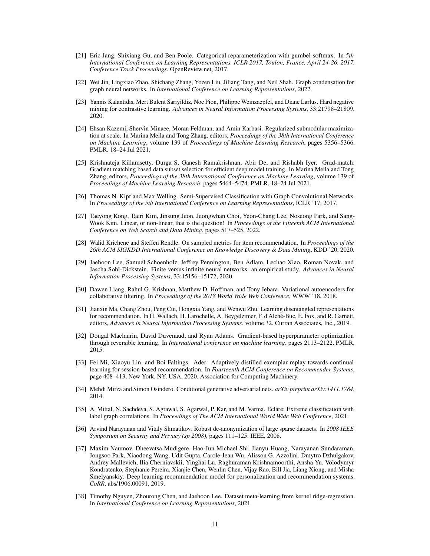- <span id="page-10-4"></span>[21] Eric Jang, Shixiang Gu, and Ben Poole. Categorical reparameterization with gumbel-softmax. In *5th International Conference on Learning Representations, ICLR 2017, Toulon, France, April 24-26, 2017, Conference Track Proceedings*. OpenReview.net, 2017.
- <span id="page-10-13"></span>[22] Wei Jin, Lingxiao Zhao, Shichang Zhang, Yozen Liu, Jiliang Tang, and Neil Shah. Graph condensation for graph neural networks. In *International Conference on Learning Representations*, 2022.
- <span id="page-10-7"></span>[23] Yannis Kalantidis, Mert Bulent Sariyildiz, Noe Pion, Philippe Weinzaepfel, and Diane Larlus. Hard negative mixing for contrastive learning. *Advances in Neural Information Processing Systems*, 33:21798–21809, 2020.
- <span id="page-10-10"></span>[24] Ehsan Kazemi, Shervin Minaee, Moran Feldman, and Amin Karbasi. Regularized submodular maximization at scale. In Marina Meila and Tong Zhang, editors, *Proceedings of the 38th International Conference on Machine Learning*, volume 139 of *Proceedings of Machine Learning Research*, pages 5356–5366. PMLR, 18–24 Jul 2021.
- <span id="page-10-9"></span>[25] Krishnateja Killamsetty, Durga S, Ganesh Ramakrishnan, Abir De, and Rishabh Iyer. Grad-match: Gradient matching based data subset selection for efficient deep model training. In Marina Meila and Tong Zhang, editors, *Proceedings of the 38th International Conference on Machine Learning*, volume 139 of *Proceedings of Machine Learning Research*, pages 5464–5474. PMLR, 18–24 Jul 2021.
- <span id="page-10-15"></span>[26] Thomas N. Kipf and Max Welling. Semi-Supervised Classification with Graph Convolutional Networks. In *Proceedings of the 5th International Conference on Learning Representations*, ICLR '17, 2017.
- <span id="page-10-1"></span>[27] Taeyong Kong, Taeri Kim, Jinsung Jeon, Jeongwhan Choi, Yeon-Chang Lee, Noseong Park, and Sang-Wook Kim. Linear, or non-linear, that is the question! In *Proceedings of the Fifteenth ACM International Conference on Web Search and Data Mining*, pages 517–525, 2022.
- <span id="page-10-8"></span>[28] Walid Krichene and Steffen Rendle. On sampled metrics for item recommendation. In *Proceedings of the 26th ACM SIGKDD International Conference on Knowledge Discovery & Data Mining*, KDD '20, 2020.
- <span id="page-10-0"></span>[29] Jaehoon Lee, Samuel Schoenholz, Jeffrey Pennington, Ben Adlam, Lechao Xiao, Roman Novak, and Jascha Sohl-Dickstein. Finite versus infinite neural networks: an empirical study. *Advances in Neural Information Processing Systems*, 33:15156–15172, 2020.
- <span id="page-10-5"></span>[30] Dawen Liang, Rahul G. Krishnan, Matthew D. Hoffman, and Tony Jebara. Variational autoencoders for collaborative filtering. In *Proceedings of the 2018 World Wide Web Conference*, WWW '18, 2018.
- <span id="page-10-6"></span>[31] Jianxin Ma, Chang Zhou, Peng Cui, Hongxia Yang, and Wenwu Zhu. Learning disentangled representations for recommendation. In H. Wallach, H. Larochelle, A. Beygelzimer, F. d'Alché-Buc, E. Fox, and R. Garnett, editors, *Advances in Neural Information Processing Systems*, volume 32. Curran Associates, Inc., 2019.
- <span id="page-10-11"></span>[32] Dougal Maclaurin, David Duvenaud, and Ryan Adams. Gradient-based hyperparameter optimization through reversible learning. In *International conference on machine learning*, pages 2113–2122. PMLR, 2015.
- <span id="page-10-14"></span>[33] Fei Mi, Xiaoyu Lin, and Boi Faltings. Ader: Adaptively distilled exemplar replay towards continual learning for session-based recommendation. In *Fourteenth ACM Conference on Recommender Systems*, page 408–413, New York, NY, USA, 2020. Association for Computing Machinery.
- <span id="page-10-17"></span>[34] Mehdi Mirza and Simon Osindero. Conditional generative adversarial nets. *arXiv preprint arXiv:1411.1784*, 2014.
- <span id="page-10-16"></span>[35] A. Mittal, N. Sachdeva, S. Agrawal, S. Agarwal, P. Kar, and M. Varma. Eclare: Extreme classification with label graph correlations. In *Proceedings of The ACM International World Wide Web Conference*, 2021.
- <span id="page-10-3"></span>[36] Arvind Narayanan and Vitaly Shmatikov. Robust de-anonymization of large sparse datasets. In *2008 IEEE Symposium on Security and Privacy (sp 2008)*, pages 111–125. IEEE, 2008.
- <span id="page-10-2"></span>[37] Maxim Naumov, Dheevatsa Mudigere, Hao-Jun Michael Shi, Jianyu Huang, Narayanan Sundaraman, Jongsoo Park, Xiaodong Wang, Udit Gupta, Carole-Jean Wu, Alisson G. Azzolini, Dmytro Dzhulgakov, Andrey Mallevich, Ilia Cherniavskii, Yinghai Lu, Raghuraman Krishnamoorthi, Ansha Yu, Volodymyr Kondratenko, Stephanie Pereira, Xianjie Chen, Wenlin Chen, Vijay Rao, Bill Jia, Liang Xiong, and Misha Smelyanskiy. Deep learning recommendation model for personalization and recommendation systems. *CoRR*, abs/1906.00091, 2019.
- <span id="page-10-12"></span>[38] Timothy Nguyen, Zhourong Chen, and Jaehoon Lee. Dataset meta-learning from kernel ridge-regression. In *International Conference on Learning Representations*, 2021.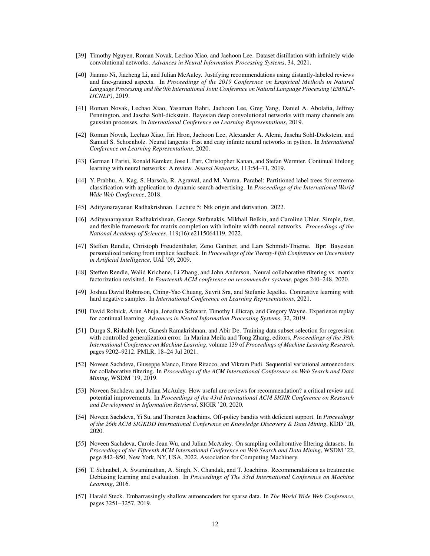- <span id="page-11-2"></span>[39] Timothy Nguyen, Roman Novak, Lechao Xiao, and Jaehoon Lee. Dataset distillation with infinitely wide convolutional networks. *Advances in Neural Information Processing Systems*, 34, 2021.
- <span id="page-11-16"></span>[40] Jianmo Ni, Jiacheng Li, and Julian McAuley. Justifying recommendations using distantly-labeled reviews and fine-grained aspects. In *Proceedings of the 2019 Conference on Empirical Methods in Natural Language Processing and the 9th International Joint Conference on Natural Language Processing (EMNLP-IJCNLP)*, 2019.
- <span id="page-11-6"></span>[41] Roman Novak, Lechao Xiao, Yasaman Bahri, Jaehoon Lee, Greg Yang, Daniel A. Abolafia, Jeffrey Pennington, and Jascha Sohl-dickstein. Bayesian deep convolutional networks with many channels are gaussian processes. In *International Conference on Learning Representations*, 2019.
- <span id="page-11-13"></span>[42] Roman Novak, Lechao Xiao, Jiri Hron, Jaehoon Lee, Alexander A. Alemi, Jascha Sohl-Dickstein, and Samuel S. Schoenholz. Neural tangents: Fast and easy infinite neural networks in python. In *International Conference on Learning Representations*, 2020.
- <span id="page-11-14"></span>[43] German I Parisi, Ronald Kemker, Jose L Part, Christopher Kanan, and Stefan Wermter. Continual lifelong learning with neural networks: A review. *Neural Networks*, 113:54–71, 2019.
- <span id="page-11-18"></span>[44] Y. Prabhu, A. Kag, S. Harsola, R. Agrawal, and M. Varma. Parabel: Partitioned label trees for extreme classification with application to dynamic search advertising. In *Proceedings of the International World Wide Web Conference*, 2018.
- <span id="page-11-9"></span>[45] Adityanarayanan Radhakrishnan. Lecture 5: Ntk origin and derivation. 2022.
- <span id="page-11-0"></span>[46] Adityanarayanan Radhakrishnan, George Stefanakis, Mikhail Belkin, and Caroline Uhler. Simple, fast, and flexible framework for matrix completion with infinite width neural networks. *Proceedings of the National Academy of Sciences*, 119(16):e2115064119, 2022.
- <span id="page-11-17"></span>[47] Steffen Rendle, Christoph Freudenthaler, Zeno Gantner, and Lars Schmidt-Thieme. Bpr: Bayesian personalized ranking from implicit feedback. In *Proceedings of the Twenty-Fifth Conference on Uncertainty in Artificial Intelligence*, UAI '09, 2009.
- <span id="page-11-1"></span>[48] Steffen Rendle, Walid Krichene, Li Zhang, and John Anderson. Neural collaborative filtering vs. matrix factorization revisited. In *Fourteenth ACM conference on recommender systems*, pages 240–248, 2020.
- <span id="page-11-7"></span>[49] Joshua David Robinson, Ching-Yao Chuang, Suvrit Sra, and Stefanie Jegelka. Contrastive learning with hard negative samples. In *International Conference on Learning Representations*, 2021.
- <span id="page-11-15"></span>[50] David Rolnick, Arun Ahuja, Jonathan Schwarz, Timothy Lillicrap, and Gregory Wayne. Experience replay for continual learning. *Advances in Neural Information Processing Systems*, 32, 2019.
- <span id="page-11-8"></span>[51] Durga S, Rishabh Iyer, Ganesh Ramakrishnan, and Abir De. Training data subset selection for regression with controlled generalization error. In Marina Meila and Tong Zhang, editors, *Proceedings of the 38th International Conference on Machine Learning*, volume 139 of *Proceedings of Machine Learning Research*, pages 9202–9212. PMLR, 18–24 Jul 2021.
- <span id="page-11-5"></span>[52] Noveen Sachdeva, Giuseppe Manco, Ettore Ritacco, and Vikram Pudi. Sequential variational autoencoders for collaborative filtering. In *Proceedings of the ACM International Conference on Web Search and Data Mining*, WSDM '19, 2019.
- <span id="page-11-12"></span>[53] Noveen Sachdeva and Julian McAuley. How useful are reviews for recommendation? a critical review and potential improvements. In *Proceedings of the 43rd International ACM SIGIR Conference on Research and Development in Information Retrieval*, SIGIR '20, 2020.
- <span id="page-11-10"></span>[54] Noveen Sachdeva, Yi Su, and Thorsten Joachims. Off-policy bandits with deficient support. In *Proceedings of the 26th ACM SIGKDD International Conference on Knowledge Discovery & Data Mining*, KDD '20, 2020.
- <span id="page-11-3"></span>[55] Noveen Sachdeva, Carole-Jean Wu, and Julian McAuley. On sampling collaborative filtering datasets. In *Proceedings of the Fifteenth ACM International Conference on Web Search and Data Mining*, WSDM '22, page 842–850, New York, NY, USA, 2022. Association for Computing Machinery.
- <span id="page-11-11"></span>[56] T. Schnabel, A. Swaminathan, A. Singh, N. Chandak, and T. Joachims. Recommendations as treatments: Debiasing learning and evaluation. In *Proceedings of The 33rd International Conference on Machine Learning*, 2016.
- <span id="page-11-4"></span>[57] Harald Steck. Embarrassingly shallow autoencoders for sparse data. In *The World Wide Web Conference*, pages 3251–3257, 2019.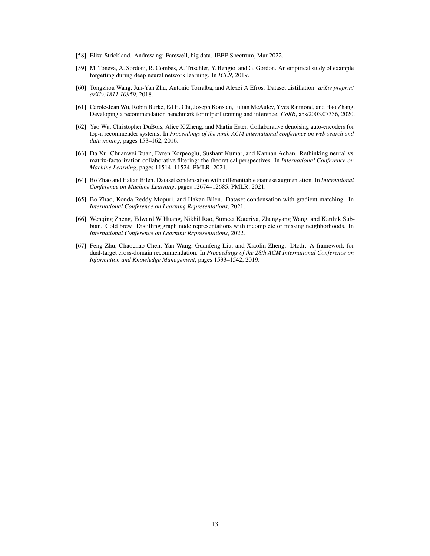- <span id="page-12-1"></span>[58] Eliza Strickland. Andrew ng: Farewell, big data. IEEE Spectrum, Mar 2022.
- <span id="page-12-9"></span>[59] M. Toneva, A. Sordoni, R. Combes, A. Trischler, Y. Bengio, and G. Gordon. An empirical study of example forgetting during deep neural network learning. In *ICLR*, 2019.
- <span id="page-12-4"></span>[60] Tongzhou Wang, Jun-Yan Zhu, Antonio Torralba, and Alexei A Efros. Dataset distillation. *arXiv preprint arXiv:1811.10959*, 2018.
- <span id="page-12-7"></span>[61] Carole-Jean Wu, Robin Burke, Ed H. Chi, Joseph Konstan, Julian McAuley, Yves Raimond, and Hao Zhang. Developing a recommendation benchmark for mlperf training and inference. *CoRR*, abs/2003.07336, 2020.
- <span id="page-12-3"></span>[62] Yao Wu, Christopher DuBois, Alice X Zheng, and Martin Ester. Collaborative denoising auto-encoders for top-n recommender systems. In *Proceedings of the ninth ACM international conference on web search and data mining*, pages 153–162, 2016.
- <span id="page-12-0"></span>[63] Da Xu, Chuanwei Ruan, Evren Korpeoglu, Sushant Kumar, and Kannan Achan. Rethinking neural vs. matrix-factorization collaborative filtering: the theoretical perspectives. In *International Conference on Machine Learning*, pages 11514–11524. PMLR, 2021.
- <span id="page-12-2"></span>[64] Bo Zhao and Hakan Bilen. Dataset condensation with differentiable siamese augmentation. In *International Conference on Machine Learning*, pages 12674–12685. PMLR, 2021.
- <span id="page-12-5"></span>[65] Bo Zhao, Konda Reddy Mopuri, and Hakan Bilen. Dataset condensation with gradient matching. In *International Conference on Learning Representations*, 2021.
- <span id="page-12-6"></span>[66] Wenqing Zheng, Edward W Huang, Nikhil Rao, Sumeet Katariya, Zhangyang Wang, and Karthik Subbian. Cold brew: Distilling graph node representations with incomplete or missing neighborhoods. In *International Conference on Learning Representations*, 2022.
- <span id="page-12-8"></span>[67] Feng Zhu, Chaochao Chen, Yan Wang, Guanfeng Liu, and Xiaolin Zheng. Dtcdr: A framework for dual-target cross-domain recommendation. In *Proceedings of the 28th ACM International Conference on Information and Knowledge Management*, pages 1533–1542, 2019.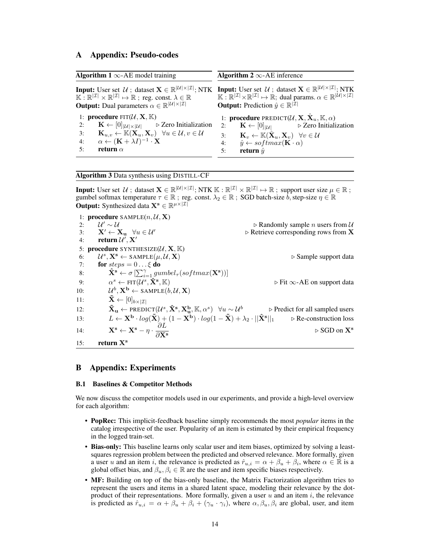## <span id="page-13-0"></span>A Appendix: Pseudo-codes

<span id="page-13-1"></span>

| Algorithm 1 $\infty$ -AE model training                                                                                 | Algorithm 2 $\infty$ -AE inference                                                                                                                                                                                                                                                                                                                                                                                                                                 |  |  |  |  |
|-------------------------------------------------------------------------------------------------------------------------|--------------------------------------------------------------------------------------------------------------------------------------------------------------------------------------------------------------------------------------------------------------------------------------------------------------------------------------------------------------------------------------------------------------------------------------------------------------------|--|--|--|--|
| <b>Output:</b> Dual parameters $\alpha \in \mathbb{R}^{ \mathcal{U}  \times  \mathcal{I} }$                             | <b>Input:</b> User set $\mathcal{U}$ ; dataset $\mathbf{X} \in \mathbb{R}^{ \mathcal{U}  \times  \mathcal{I} }$ ; NTK <b>Input:</b> User set $\mathcal{U}$ ; dataset $\mathbf{X} \in \mathbb{R}^{ \mathcal{U}  \times  \mathcal{I} }$ ; NTK $\mathbb{K}: \mathbb{R}^{ \mathcal{I} } \times \mathbb{R}^{ \mathcal{I} } \mapsto \mathbb{R}$ ; $\mathbb{R}^{ \mathcal{I} } \times \mathbb{R}^{$<br><b>Output:</b> Prediction $\hat{y} \in \mathbb{R}^{ \mathcal{I} }$ |  |  |  |  |
| 1: <b>procedure</b> $\text{FIT}(\mathcal{U}, \mathbf{X}, \mathbb{K})$                                                   | 1: <b>procedure</b> PREDICT( $\mathcal{U}, \mathbf{X}, \mathbf{\hat{X}}_u, \mathbb{K}, \alpha$ )                                                                                                                                                                                                                                                                                                                                                                   |  |  |  |  |
| $\mathbf{K} \leftarrow [0]_{ \mathcal{U}  \times  \mathcal{U} }$ $\triangleright$ Zero Initialization                   | $\mathbf{K} \leftarrow [0]_{ \mathcal{U} }$ $\triangleright$ Zero Initialization                                                                                                                                                                                                                                                                                                                                                                                   |  |  |  |  |
| 2:                                                                                                                      | 2:                                                                                                                                                                                                                                                                                                                                                                                                                                                                 |  |  |  |  |
| $\mathbf{K}_{u,v} \leftarrow \mathbb{K}(\mathbf{X}_u, \mathbf{X}_v) \quad \forall u \in \mathcal{U}, v \in \mathcal{U}$ | $\mathbf{K}_v \leftarrow \mathbb{K}(\mathbf{X}_u, \mathbf{X}_v) \quad \forall v \in \mathcal{U}$                                                                                                                                                                                                                                                                                                                                                                   |  |  |  |  |
| 3:                                                                                                                      | 3:                                                                                                                                                                                                                                                                                                                                                                                                                                                                 |  |  |  |  |
| $\alpha \leftarrow (\mathbf{K} + \lambda I)^{-1} \cdot \mathbf{X}$                                                      | $\hat{y} \leftarrow softmax(\mathbf{K} \cdot \alpha)$                                                                                                                                                                                                                                                                                                                                                                                                              |  |  |  |  |
| 4:                                                                                                                      | 4:                                                                                                                                                                                                                                                                                                                                                                                                                                                                 |  |  |  |  |
| return $\alpha$                                                                                                         | return $\hat{y}$                                                                                                                                                                                                                                                                                                                                                                                                                                                   |  |  |  |  |
| 5:                                                                                                                      | 5:                                                                                                                                                                                                                                                                                                                                                                                                                                                                 |  |  |  |  |

#### <span id="page-13-2"></span>Algorithm 3 Data synthesis using DISTILL-CF

**Input:** User set  $\mathcal{U}$ ; dataset  $\mathbf{X} \in \mathbb{R}^{|\mathcal{U}| \times |\mathcal{I}|}$ ; NTK  $\mathbb{K} : \mathbb{R}^{|\mathcal{I}|} \times \mathbb{R}^{|\mathcal{I}|} \mapsto \mathbb{R}$ ; support user size  $\mu \in \mathbb{R}$ ; gumbel softmax temperature  $\tau \in \mathbb{R}$ ; reg. const.  $\lambda_2 \in \mathbb{R}$ ; SGD batch-size  $\overline{b}$ , step-size  $\eta \in \mathbb{R}$ **Output:** Synthesized data  $X^s \in \mathbb{R}^{\mu \times |\mathcal{I}|}$ 

1: **procedure** SAMPLE $(n, \mathcal{U}, \mathbf{X})$ <br>2:  $\mathcal{U}' \sim \mathcal{U}$ 2:  $\mathcal{U}' \sim \mathcal{U}$ <br>3:  $\mathbf{X}' \leftarrow \mathbf{X}$  $▶$  Randomly sample *n* users from  $U$ 3:  $X' \leftarrow X_u \quad \forall u \in \mathcal{U}'$  .  $\triangleright$  Retrieve corresponding rows from X . The return  $\mathcal{U}', X'$ 4: **return**  $\mathcal{U}', \mathbf{X}'$ 5: **procedure** SYNTHESIZE( $U, \mathbf{X}, \mathbb{K}$ )<br>6:  $U^s$ ,  $\mathbf{X}^s \leftarrow$  SAMPLE( $u, U, \mathbf{X}$ ) 6:  $U^s$ ,  $X^s \leftarrow$  SAMPLE $(\mu, \mathcal{U}, \mathbf{X})$   $\triangleright$  Sample support data 7: **for**  $steps = 0 \dots \xi$  **do** 8:  $\mathbf{\hat{X}^s} \leftarrow \sigma \left[ \sum_{i=1}^{\gamma} gumbel_{\tau}(softmax(\mathbf{X^s})) \right]$ 9:  $\alpha^s \leftarrow \text{FIT}(\mathcal{U}^s, \hat{\mathbf{X}}^s, \mathbb{K})$   $\triangleright$  Fit  $\infty$ -AE on support data  $10: 11: 11$  ${}^b, \mathbf{X^b} \leftarrow \texttt{SAMPLE}(b, \mathcal{U}, \mathbf{X})$  $\mathbf{\tilde{X}} \leftarrow [0]_{b \times |\mathcal{I}|}$ 12:  $\tilde{\mathbf{X}}_{\mathbf{u}} \leftarrow \text{PREDICT}(\mathcal{U}^s, \hat{\mathbf{X}}^s, \mathbf{X}_{\mathbf{u}}^b, \mathbb{K}, \alpha^s) \quad \forall u \sim \mathcal{U}^b$  . Predict for all sampled users 13:  $L \leftarrow \mathbf{X}^{\mathbf{b}} \cdot log(\tilde{\mathbf{X}}) + (1 - \mathbf{X}^{\mathbf{b}}) \cdot log(1 - \tilde{\mathbf{X}}) + \lambda_2 \cdot ||\hat{\mathbf{X}}^{\mathbf{s}}||_1 \qquad \forall \text{Re-construction loss}$ 14:  $\mathbf{X}^{\mathbf{s}} \leftarrow \mathbf{X}^{\mathbf{s}} - \eta \cdot \frac{\partial L}{\partial \mathbf{X}^{\mathbf{s}}}$ ∂X<sup>s</sup>  $\triangleright$  SGD on  $X^s$ 15: return  $X^s$ 

## B Appendix: Experiments

### <span id="page-13-3"></span>B.1 Baselines & Competitor Methods

We now discuss the competitor models used in our experiments, and provide a high-level overview for each algorithm:

- PopRec: This implicit-feedback baseline simply recommends the most *popular* items in the catalog irrespective of the user. Popularity of an item is estimated by their empirical frequency in the logged train-set.
- Bias-only: This baseline learns only scalar user and item biases, optimized by solving a leastsquares regression problem between the predicted and observed relevance. More formally, given a user u and an item i, the relevance is predicted as  $\hat{r}_{u,i} = \alpha + \beta_u + \beta_i$ , where  $\alpha \in \mathbb{R}$  is a global offset bias, and  $\beta_u, \beta_i \in \mathbb{R}$  are the user and item specific biases respectively.
- MF: Building on top of the bias-only baseline, the Matrix Factorization algorithm tries to represent the users and items in a shared latent space, modeling their relevance by the dotproduct of their representations. More formally, given a user  $u$  and an item  $i$ , the relevance is predicted as  $\hat{r}_{u,i} = \alpha + \beta_u + \beta_i + (\gamma_u \cdot \gamma_i)$ , where  $\alpha, \beta_u, \beta_i$  are global, user, and item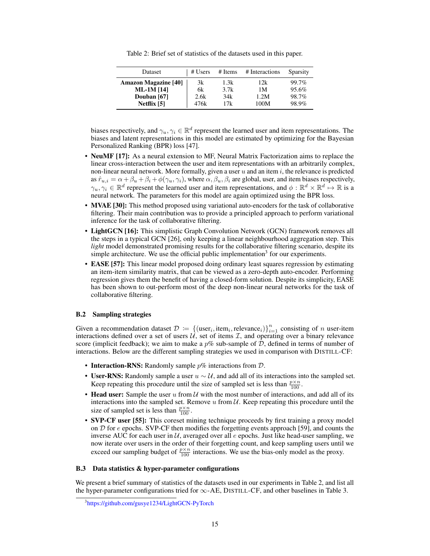Table 2: Brief set of statistics of the datasets used in this paper.

<span id="page-14-1"></span>

| Dataset                     | # Users | # Items | # Interactions | Sparsity |
|-----------------------------|---------|---------|----------------|----------|
| <b>Amazon Magazine [40]</b> | 3k      | 1.3k    | 12k            | 99.7%    |
| <b>ML-1M</b> [14]           | 6k      | 3.7k    | 1М             | 95.6%    |
| Douban [67]                 | 2.6k    | 34k     | 1.2M           | 98.7%    |
| Netflix [5]                 | 476k    | 17k     | 100M           | 98.9%    |

biases respectively, and  $\gamma_u, \gamma_i \in \mathbb{R}^d$  represent the learned user and item representations. The biases and latent representations in this model are estimated by optimizing for the Bayesian Personalized Ranking (BPR) loss [\[47\]](#page-11-17).

- NeuMF [\[17\]](#page-9-5): As a neural extension to MF, Neural Matrix Factorization aims to replace the linear cross-interaction between the user and item representations with an arbitrarily complex, non-linear neural network. More formally, given a user  $u$  and an item  $i$ , the relevance is predicted as  $\hat{r}_{u,i} = \alpha + \beta_u + \beta_i + \phi(\gamma_u, \gamma_i)$ , where  $\alpha, \beta_u, \beta_i$  are global, user, and item biases respectively,  $\gamma_u, \gamma_i \in \mathbb{R}^d$  represent the learned user and item representations, and  $\phi : \mathbb{R}^d \times \mathbb{R}^d \mapsto \mathbb{R}$  is a neural network. The parameters for this model are again optimized using the BPR loss.
- MVAE [\[30\]](#page-10-5): This method proposed using variational auto-encoders for the task of collaborative filtering. Their main contribution was to provide a principled approach to perform variational inference for the task of collaborative filtering.
- LightGCN [\[16\]](#page-9-17): This simplistic Graph Convolution Network (GCN) framework removes all the steps in a typical GCN [\[26\]](#page-10-15), only keeping a linear neighbourhood aggregation step. This *light* model demonstrated promising results for the collaborative filtering scenario, despite its simple architecture. We use the official public implementation<sup>[3](#page-14-3)</sup> for our experiments.
- **EASE [\[57\]](#page-11-4):** This linear model proposed doing ordinary least squares regression by estimating an item-item similarity matrix, that can be viewed as a zero-depth auto-encoder. Performing regression gives them the benefit of having a closed-form solution. Despite its simplicity, EASE has been shown to out-perform most of the deep non-linear neural networks for the task of collaborative filtering.

#### <span id="page-14-2"></span>B.2 Sampling strategies

Given a recommendation dataset  $\mathcal{D} := \{(\text{user}_i, \text{item}_i, \text{relevance}_i)\}_{i=1}^n$  consisting of *n* user-item interactions defined over a set of users  $U$ , set of items  $\mathcal{I}$ , and operating over a binary relevance score (implicit feedback); we aim to make a  $p\%$  sub-sample of  $D$ , defined in terms of number of interactions. Below are the different sampling strategies we used in comparison with DISTILL-CF:

- Interaction-RNS: Randomly sample  $p\%$  interactions from  $D$ .
- User-RNS: Randomly sample a user  $u \sim U$ , and add all of its interactions into the sampled set. Keep repeating this procedure until the size of sampled set is less than  $\frac{p \times n}{100}$ .
- Head user: Sample the user  $u$  from  $\mathcal U$  with the most number of interactions, and add all of its interactions into the sampled set. Remove  $u$  from  $\mathcal{U}$ . Keep repeating this procedure until the size of sampled set is less than  $\frac{p \times n}{100}$ .
- SVP-CF user [\[55\]](#page-11-3): This coreset mining technique proceeds by first training a proxy model on  $D$  for  $e$  epochs. SVP-CF then modifies the forgetting events approach [\[59\]](#page-12-9), and counts the inverse AUC for each user in  $U$ , averaged over all  $e$  epochs. Just like head-user sampling, we now iterate over users in the order of their forgetting count, and keep sampling users until we exceed our sampling budget of  $\frac{p \times n}{100}$  interactions. We use the bias-only model as the proxy.

### <span id="page-14-0"></span>B.3 Data statistics & hyper-parameter configurations

We present a brief summary of statistics of the datasets used in our experiments in Table [2,](#page-14-1) and list all the hyper-parameter configurations tried for  $\infty$ -AE, DISTILL-CF, and other baselines in Table [3.](#page-15-1)

<span id="page-14-3"></span><sup>3</sup> <https://github.com/gusye1234/LightGCN-PyTorch>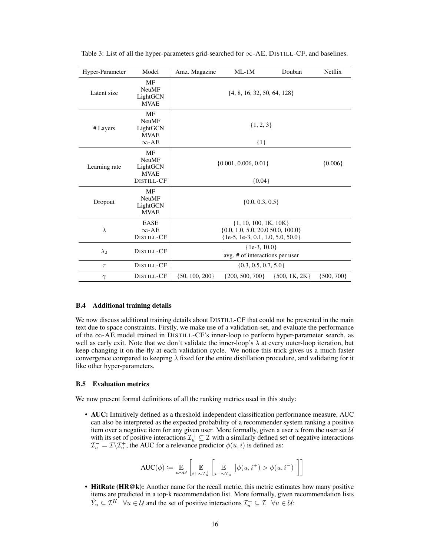| Hyper-Parameter           | Model                                                                | Amz. Magazine                                                                                                | $ML-1M$                              | Douban            | Netflix        |  |
|---------------------------|----------------------------------------------------------------------|--------------------------------------------------------------------------------------------------------------|--------------------------------------|-------------------|----------------|--|
| Latent size               | MF<br><b>NeuMF</b><br>LightGCN<br><b>MVAE</b>                        | $\{4, 8, 16, 32, 50, 64, 128\}$                                                                              |                                      |                   |                |  |
| # Layers                  | <b>MF</b><br><b>NeuMF</b><br>LightGCN<br><b>MVAE</b><br>$\infty$ -AE | $\{1, 2, 3\}$<br>${1}$                                                                                       |                                      |                   |                |  |
| Learning rate             | MF<br><b>NeuMF</b><br>LightGCN<br><b>MVAE</b><br>DISTILL-CF          |                                                                                                              | $\{0.001, 0.006, 0.01\}$<br>${0.04}$ |                   | ${0.006}$      |  |
| Dropout                   | MF<br><b>NeuMF</b><br>LightGCN<br><b>MVAE</b>                        | $\{0.0, 0.3, 0.5\}$                                                                                          |                                      |                   |                |  |
| λ                         | <b>EASE</b><br>$\infty$ -AE<br>DISTILL-CF                            | $\{1, 10, 100, 1K, 10K\}$<br>$\{0.0, 1.0, 5.0, 20.0, 50.0, 100.0\}$<br>$\{1e-5, 1e-3, 0.1, 1.0, 5.0, 50.0\}$ |                                      |                   |                |  |
| DISTILL-CF<br>$\lambda_2$ |                                                                      | $\{1e-3, 10.0\}$<br>avg. # of interactions per user                                                          |                                      |                   |                |  |
| DISTILL-CF<br>$\tau$      |                                                                      |                                                                                                              |                                      |                   |                |  |
| $\gamma$                  | DISTILL-CF                                                           | $\{50, 100, 200\}$                                                                                           | $\{200, 500, 700\}$                  | $\{500, 1K, 2K\}$ | $\{500, 700\}$ |  |

<span id="page-15-1"></span>Table 3: List of all the hyper-parameters grid-searched for  $\infty$ -AE, DISTILL-CF, and baselines.

### <span id="page-15-2"></span>B.4 Additional training details

We now discuss additional training details about DISTILL-CF that could not be presented in the main text due to space constraints. Firstly, we make use of a validation-set, and evaluate the performance of the ∞-AE model trained in DISTILL-CF's inner-loop to perform hyper-parameter search, as well as early exit. Note that we don't validate the inner-loop's  $\lambda$  at every outer-loop iteration, but keep changing it on-the-fly at each validation cycle. We notice this trick gives us a much faster convergence compared to keeping  $\lambda$  fixed for the entire distillation procedure, and validating for it like other hyper-parameters.

### <span id="page-15-0"></span>B.5 Evaluation metrics

We now present formal definitions of all the ranking metrics used in this study:

• AUC: Intuitively defined as a threshold independent classification performance measure, AUC can also be interpreted as the expected probability of a recommender system ranking a positive item over a negative item for any given user. More formally, given a user  $u$  from the user set  $U$ with its set of positive interactions  $\mathcal{I}_u^+ \subseteq \mathcal{I}$  with a similarly defined set of negative interactions  $\mathcal{I}_{u}^- = \mathcal{I} \backslash \mathcal{I}_{u}^+$ , the AUC for a relevance predictor  $\phi(u, i)$  is defined as:

$$
\text{AUC}(\phi) \coloneqq \underset{u \sim \mathcal{U}}{\mathbb{E}} \left[ \underset{i^+ \sim \mathcal{I}_u^+}{\mathbb{E}} \left[ \underset{i^- \sim \mathcal{I}_u^-}{\mathbb{E}} \left[ \phi(u, i^+) > \phi(u, i^-) \right] \right] \right]
$$

• HitRate (HR@k): Another name for the recall metric, this metric estimates how many positive items are predicted in a top-k recommendation list. More formally, given recommendation lists  $\hat{Y}_u \subseteq \mathcal{I}^K \quad \forall u \in \mathcal{U}$  and the set of positive interactions  $\mathcal{I}^+_u \subseteq \mathcal{I} \quad \forall u \in \mathcal{U}$ :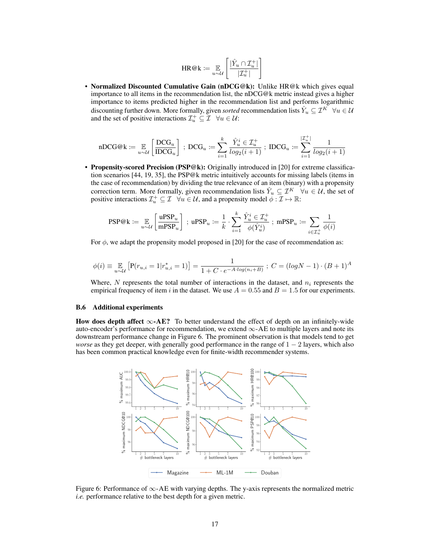$$
\text{HR@k} := \underset{u \sim \mathcal{U}}{\mathbb{E}} \left[ \frac{|\hat{Y}_u \cap \mathcal{I}_u^+|}{|\mathcal{I}_u^+|} \right]
$$

• Normalized Discounted Cumulative Gain (nDCG@k): Unlike HR@k which gives equal importance to all items in the recommendation list, the nDCG@k metric instead gives a higher importance to items predicted higher in the recommendation list and performs logarithmic discounting further down. More formally, given *sorted* recommendation lists  $\hat{Y}_u \subseteq \mathcal{I}^K \quad \forall u \in \mathcal{U}$ and the set of positive interactions  $\mathcal{I}_u^+ \subseteq \mathcal{I}$   $\forall u \in \mathcal{U}$ :

$$
\mathtt{nDCG@k} \coloneqq \mathop{\mathbb{E}}\limits_{u \sim \mathcal{U}} \left[ \frac{\mathtt{DCG}_u}{\mathtt{IDCG}_u} \right] \; ; \; \mathtt{DCG}_u \coloneqq \sum_{i=1}^k \frac{\hat{Y}^i_u \in \mathcal{I}^+_u}{log_2(i+1)} \; ; \; \mathtt{IDCG}_u \coloneqq \sum_{i=1}^{|\mathcal{I}^+_u|} \frac{1}{log_2(i+1)}
$$

• Propensity-scored Precision (PSP@k): Originally introduced in [\[20\]](#page-9-9) for extreme classification scenarios [\[44,](#page-11-18) [19,](#page-9-18) [35\]](#page-10-16), the PSP@k metric intuitively accounts for missing labels (items in the case of recommendation) by dividing the true relevance of an item (binary) with a propensity correction term. More formally, given recommendation lists  $\hat{Y}_u \subseteq \mathcal{I}^K \quad \forall u \in \mathcal{U}$ , the set of positive interactions  $\mathcal{I}_u^+ \subseteq \mathcal{I}$   $\forall u \in \mathcal{U}$ , and a propensity model  $\phi : \mathcal{I} \mapsto \mathbb{R}$ :

$$
\text{PSP@k} \coloneqq \mathop{\mathbb{E}}_{u \sim \mathcal{U}} \left[ \frac{\text{uPSP}_u}{\text{mPSP}_u} \right] \; ; \; \text{uPSP}_u \coloneqq \frac{1}{k} \cdot \sum_{i=1}^k \frac{\hat{Y}^i_u \in \mathcal{I}^+_u}{\phi(\hat{Y}^i_u)} \; ; \; \text{mPSP}_u \coloneqq \sum_{i \in \mathcal{I}^+_u} \frac{1}{\phi(i)}
$$

For  $\phi$ , we adapt the propensity model proposed in [\[20\]](#page-9-9) for the case of recommendation as:

$$
\phi(i) \equiv \mathop{\mathbb{E}}_{u \sim \mathcal{U}} \left[ P(r_{u,i} = 1 | r_{u,i}^* = 1) \right] = \frac{1}{1 + C \cdot e^{-A \cdot \log(n_i + B)}} ; C = (\log N - 1) \cdot (B + 1)^A
$$

Where, N represents the total number of interactions in the dataset, and  $n_i$  represents the empirical frequency of item i in the dataset. We use  $A = 0.55$  and  $B = 1.5$  for our experiments.

#### <span id="page-16-0"></span>B.6 Additional experiments

How does depth affect  $\infty$ -AE? To better understand the effect of depth on an infinitely-wide auto-encoder's performance for recommendation, we extend  $\infty$ -AE to multiple layers and note its downstream performance change in Figure [6.](#page-16-1) The prominent observation is that models tend to get *worse* as they get deeper, with generally good performance in the range of 1 − 2 layers, which also has been common practical knowledge even for finite-width recommender systems.

<span id="page-16-1"></span>

Figure 6: Performance of  $\infty$ -AE with varying depths. The y-axis represents the normalized metric *i.e.* performance relative to the best depth for a given metric.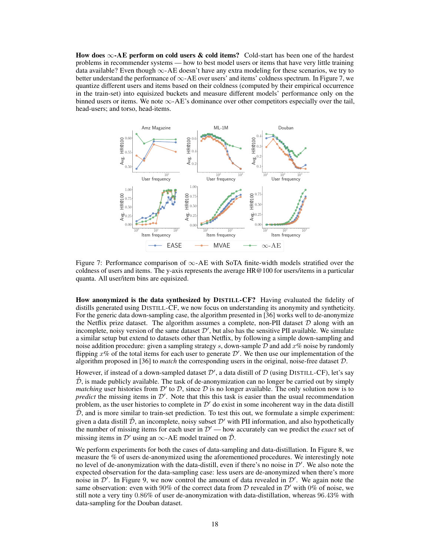How does  $\infty$ -AE perform on cold users & cold items? Cold-start has been one of the hardest problems in recommender systems — how to best model users or items that have very little training data available? Even though  $\infty$ -AE doesn't have any extra modeling for these scenarios, we try to better understand the performance of  $\infty$ -AE over users' and items' coldness spectrum. In Figure [7,](#page-17-0) we quantize different users and items based on their coldness (computed by their empirical occurrence in the train-set) into equisized buckets and measure different models' performance only on the binned users or items. We note  $\infty$ -AE's dominance over other competitors especially over the tail, head-users; and torso, head-items.

<span id="page-17-0"></span>

Figure 7: Performance comparison of ∞-AE with SoTA finite-width models stratified over the coldness of users and items. The y-axis represents the average HR@100 for users/items in a particular quanta. All user/item bins are equisized.

How anonymized is the data synthesized by DISTILL-CF? Having evaluated the fidelity of distills generated using DISTILL-CF, we now focus on understanding its anonymity and syntheticity. For the generic data down-sampling case, the algorithm presented in [\[36\]](#page-10-3) works well to de-anonymize the Netflix prize dataset. The algorithm assumes a complete, non-PII dataset  $D$  along with an incomplete, noisy version of the same dataset  $\mathcal{D}'$ , but also has the sensitive PII available. We simulate a similar setup but extend to datasets other than Netflix, by following a simple down-sampling and noise addition procedure: given a sampling strategy s, down-sample  $D$  and add  $x$ % noise by randomly flipping  $x$ % of the total items for each user to generate  $\mathcal{D}'$ . We then use our implementation of the algorithm proposed in [\[36\]](#page-10-3) to *match* the corresponding users in the original, noise-free dataset D.

However, if instead of a down-sampled dataset  $\mathcal{D}'$ , a data distill of  $\mathcal D$  (using DISTILL-CF), let's say  $\tilde{\mathcal{D}}$ , is made publicly available. The task of de-anonymization can no longer be carried out by simply *matching* user histories from  $\mathcal{D}'$  to  $\mathcal{D}$ , since  $\mathcal{D}$  is no longer available. The only solution now is to *predict* the missing items in  $\mathcal{D}'$ . Note that this this task is easier than the usual recommendation problem, as the user histories to complete in  $\mathcal{D}'$  do exist in some incoherent way in the data distill  $D$ , and is more similar to train-set prediction. To test this out, we formulate a simple experiment: given a data distill  $\tilde{\mathcal{D}}$ , an incomplete, noisy subset  $\mathcal{D}'$  with PII information, and also hypothetically the number of missing items for each user in  $\mathcal{D}'$  — how accurately can we predict the *exact* set of missing items in  $\mathcal{D}'$  using an  $\infty$ -AE model trained on  $\tilde{\mathcal{D}}$ .

We perform experiments for both the cases of data-sampling and data-distillation. In Figure [8,](#page-18-0) we measure the % of users de-anonymized using the aforementioned procedures. We interestingly note no level of de-anonymization with the data-distill, even if there's no noise in  $\mathcal{D}'$ . We also note the expected observation for the data-sampling case: less users are de-anonymized when there's more noise in  $\mathcal{D}'$ . In Figure [9,](#page-18-0) we now control the amount of data revealed in  $\mathcal{D}'$ . We again note the same observation: even with 90% of the correct data from D revealed in  $\mathcal{D}'$  with 0% of noise, we still note a very tiny 0.86% of user de-anonymization with data-distillation, whereas 96.43% with data-sampling for the Douban dataset.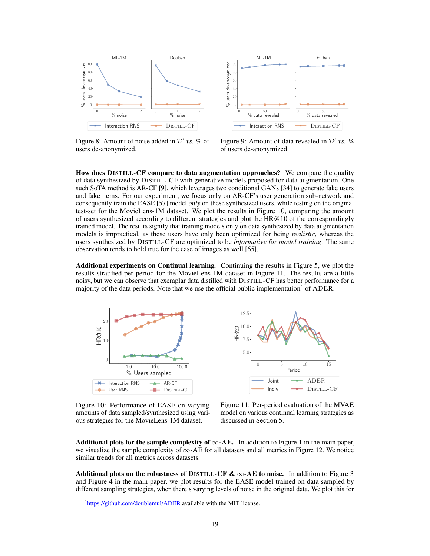<span id="page-18-0"></span>



Figure 8: Amount of noise added in  $\mathcal{D}'$  vs. % of users de-anonymized.

Figure 9: Amount of data revealed in  $\mathcal{D}'$  vs. % of users de-anonymized.

How does DISTILL-CF compare to data augmentation approaches? We compare the quality of data synthesized by DISTILL-CF with generative models proposed for data augmentation. One such SoTA method is AR-CF [\[9\]](#page-9-19), which leverages two conditional GANs [\[34\]](#page-10-17) to generate fake users and fake items. For our experiment, we focus only on AR-CF's user generation sub-network and consequently train the EASE [\[57\]](#page-11-4) model *only* on these synthesized users, while testing on the original test-set for the MovieLens-1M dataset. We plot the results in Figure [10,](#page-18-1) comparing the amount of users synthesized according to different strategies and plot the HR $@10$  of the correspondingly trained model. The results signify that training models only on data synthesized by data augmentation models is impractical, as these users have only been optimized for being *realistic*, whereas the users synthesized by DISTILL-CF are optimized to be *informative for model training*. The same observation tends to hold true for the case of images as well [\[65\]](#page-12-5).

Additional experiments on Continual learning. Continuing the results in Figure [5,](#page-8-0) we plot the results stratified per period for the MovieLens-1M dataset in Figure [11.](#page-18-1) The results are a little noisy, but we can observe that exemplar data distilled with DISTILL-CF has better performance for a majority of the data periods. Note that we use the official public implementation<sup>[4](#page-18-2)</sup> of ADER.

<span id="page-18-1"></span>



Figure 10: Performance of EASE on varying amounts of data sampled/synthesized using various strategies for the MovieLens-1M dataset.

Figure 11: Per-period evaluation of the MVAE model on various continual learning strategies as discussed in Section [5.](#page-5-3)

Additional plots for the sample complexity of  $\infty$ -AE. In addition to Figure [1](#page-6-0) in the main paper, we visualize the sample complexity of  $\infty$ -AE for all datasets and all metrics in Figure [12.](#page-19-0) We notice similar trends for all metrics across datasets.

Additional plots on the robustness of DISTILL-CF  $\& \infty$ -AE to noise. In addition to Figure [3](#page-7-0) and Figure [4](#page-7-1) in the main paper, we plot results for the EASE model trained on data sampled by different sampling strategies, when there's varying levels of noise in the original data. We plot this for

<span id="page-18-2"></span><sup>&</sup>lt;sup>4</sup><https://github.com/doublemul/ADER> available with the MIT license.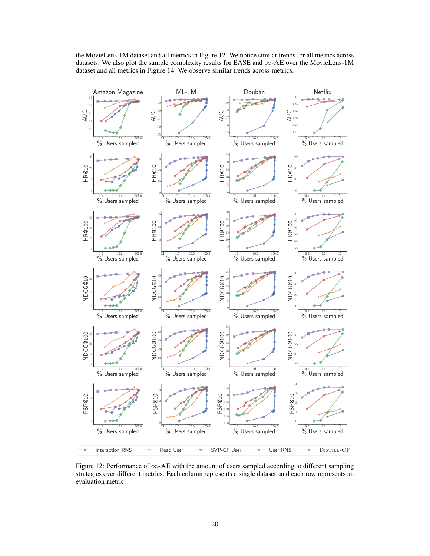the MovieLens-1M dataset and all metrics in Figure [12.](#page-19-0) We notice similar trends for all metrics across datasets. We also plot the sample complexity results for EASE and  $\infty$ -AE over the MovieLens-1M dataset and all metrics in Figure [14.](#page-21-0) We observe similar trends across metrics.

<span id="page-19-0"></span>

Figure 12: Performance of ∞-AE with the amount of users sampled according to different sampling strategies over different metrics. Each column represents a single dataset, and each row represents an evaluation metric.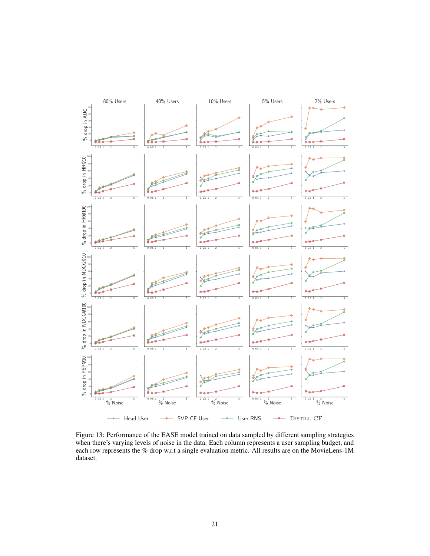<span id="page-20-0"></span>

Figure 13: Performance of the EASE model trained on data sampled by different sampling strategies when there's varying levels of noise in the data. Each column represents a user sampling budget, and each row represents the % drop w.r.t a single evaluation metric. All results are on the MovieLens-1M dataset.